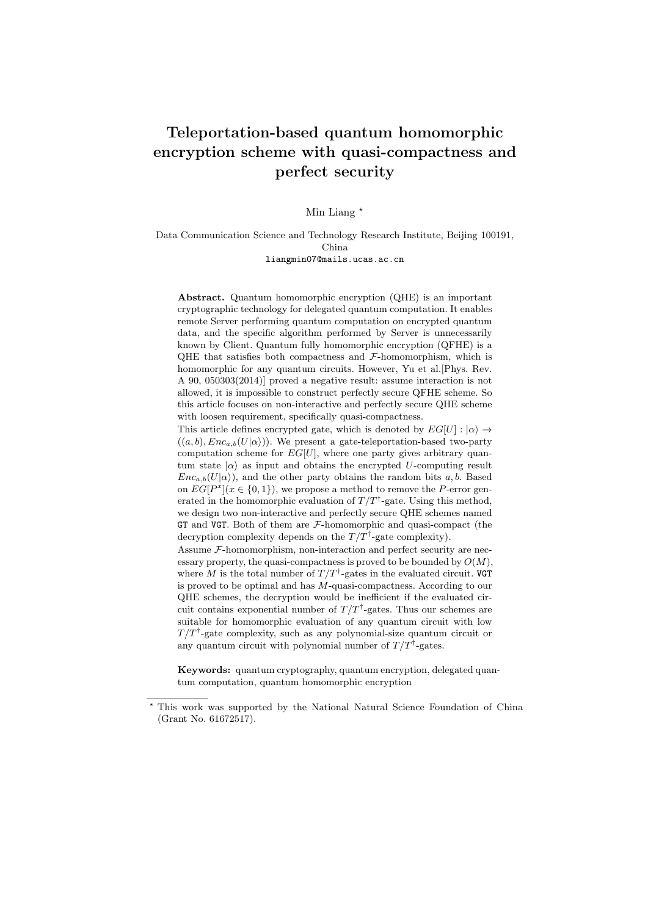# Teleportation-based quantum homomorphic encryption scheme with quasi-compactness and perfect security

Min Liang  $*$ 

Data Communication Science and Technology Research Institute, Beijing 100191, China liangmin07@mails.ucas.ac.cn

Abstract. Quantum homomorphic encryption (QHE) is an important cryptographic technology for delegated quantum computation. It enables remote Server performing quantum computation on encrypted quantum data, and the specific algorithm performed by Server is unnecessarily known by Client. Quantum fully homomorphic encryption (QFHE) is a QHE that satisfies both compactness and  $\mathcal{F}\text{-}\mathrm{homomorphism}$ , which is homomorphic for any quantum circuits. However, Yu et al.[Phys. Rev. A 90, 050303(2014)] proved a negative result: assume interaction is not allowed, it is impossible to construct perfectly secure QFHE scheme. So this article focuses on non-interactive and perfectly secure QHE scheme with loosen requirement, specifically quasi-compactness.

This article defines encrypted gate, which is denoted by  $EG[U]: |\alpha\rangle \rightarrow$  $((a, b), Enc_{a,b}(U|\alpha))$ . We present a gate-teleportation-based two-party computation scheme for  $EG[U]$ , where one party gives arbitrary quantum state  $|\alpha\rangle$  as input and obtains the encrypted U-computing result  $Enc_{a,b}(U|\alpha)$ , and the other party obtains the random bits a, b. Based on  $EG[P^x](x \in \{0,1\})$ , we propose a method to remove the P-error generated in the homomorphic evaluation of  $T/T^{\dagger}$ -gate. Using this method, we design two non-interactive and perfectly secure QHE schemes named GT and VGT. Both of them are  $F$ -homomorphic and quasi-compact (the decryption complexity depends on the  $T/T^{\dagger}$ -gate complexity).

Assume  $\mathcal F$ -homomorphism, non-interaction and perfect security are necessary property, the quasi-compactness is proved to be bounded by  $O(M)$ . where M is the total number of  $T/T^{\dagger}$ -gates in the evaluated circuit. VGT is proved to be optimal and has  $M$ -quasi-compactness. According to our QHE schemes, the decryption would be inefficient if the evaluated circuit contains exponential number of  $T/T^{\dagger}$ -gates. Thus our schemes are suitable for homomorphic evaluation of any quantum circuit with low  $T/T^{\dagger}$ -gate complexity, such as any polynomial-size quantum circuit or any quantum circuit with polynomial number of  $T/T^{\dagger}$ -gates.

Keywords: quantum cryptography, quantum encryption, delegated quantum computation, quantum homomorphic encryption

<sup>?</sup> This work was supported by the National Natural Science Foundation of China (Grant No. 61672517).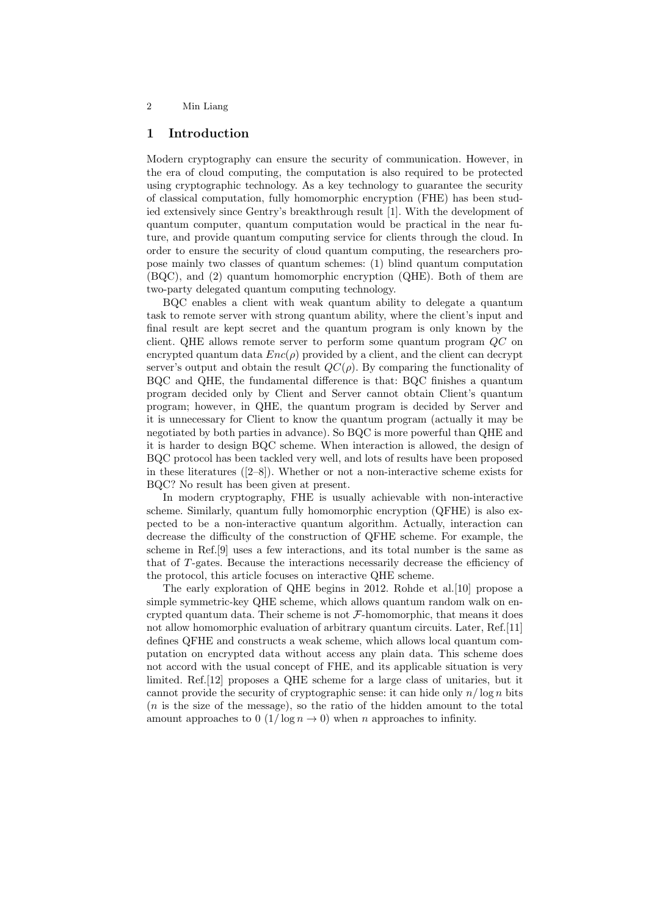# 1 Introduction

Modern cryptography can ensure the security of communication. However, in the era of cloud computing, the computation is also required to be protected using cryptographic technology. As a key technology to guarantee the security of classical computation, fully homomorphic encryption (FHE) has been studied extensively since Gentry's breakthrough result [1]. With the development of quantum computer, quantum computation would be practical in the near future, and provide quantum computing service for clients through the cloud. In order to ensure the security of cloud quantum computing, the researchers propose mainly two classes of quantum schemes: (1) blind quantum computation (BQC), and (2) quantum homomorphic encryption (QHE). Both of them are two-party delegated quantum computing technology.

BQC enables a client with weak quantum ability to delegate a quantum task to remote server with strong quantum ability, where the client's input and final result are kept secret and the quantum program is only known by the client. QHE allows remote server to perform some quantum program QC on encrypted quantum data  $Enc(\rho)$  provided by a client, and the client can decrypt server's output and obtain the result  $QC(\rho)$ . By comparing the functionality of BQC and QHE, the fundamental difference is that: BQC finishes a quantum program decided only by Client and Server cannot obtain Client's quantum program; however, in QHE, the quantum program is decided by Server and it is unnecessary for Client to know the quantum program (actually it may be negotiated by both parties in advance). So BQC is more powerful than QHE and it is harder to design BQC scheme. When interaction is allowed, the design of BQC protocol has been tackled very well, and lots of results have been proposed in these literatures ([2–8]). Whether or not a non-interactive scheme exists for BQC? No result has been given at present.

In modern cryptography, FHE is usually achievable with non-interactive scheme. Similarly, quantum fully homomorphic encryption (QFHE) is also expected to be a non-interactive quantum algorithm. Actually, interaction can decrease the difficulty of the construction of QFHE scheme. For example, the scheme in Ref.[9] uses a few interactions, and its total number is the same as that of T-gates. Because the interactions necessarily decrease the efficiency of the protocol, this article focuses on interactive QHE scheme.

The early exploration of QHE begins in 2012. Rohde et al.[10] propose a simple symmetric-key QHE scheme, which allows quantum random walk on encrypted quantum data. Their scheme is not  $\mathcal F$ -homomorphic, that means it does not allow homomorphic evaluation of arbitrary quantum circuits. Later, Ref.[11] defines QFHE and constructs a weak scheme, which allows local quantum computation on encrypted data without access any plain data. This scheme does not accord with the usual concept of FHE, and its applicable situation is very limited. Ref.[12] proposes a QHE scheme for a large class of unitaries, but it cannot provide the security of cryptographic sense: it can hide only  $n/\log n$  bits (n is the size of the message), so the ratio of the hidden amount to the total amount approaches to  $0$  (1/ $\log n \to 0$ ) when n approaches to infinity.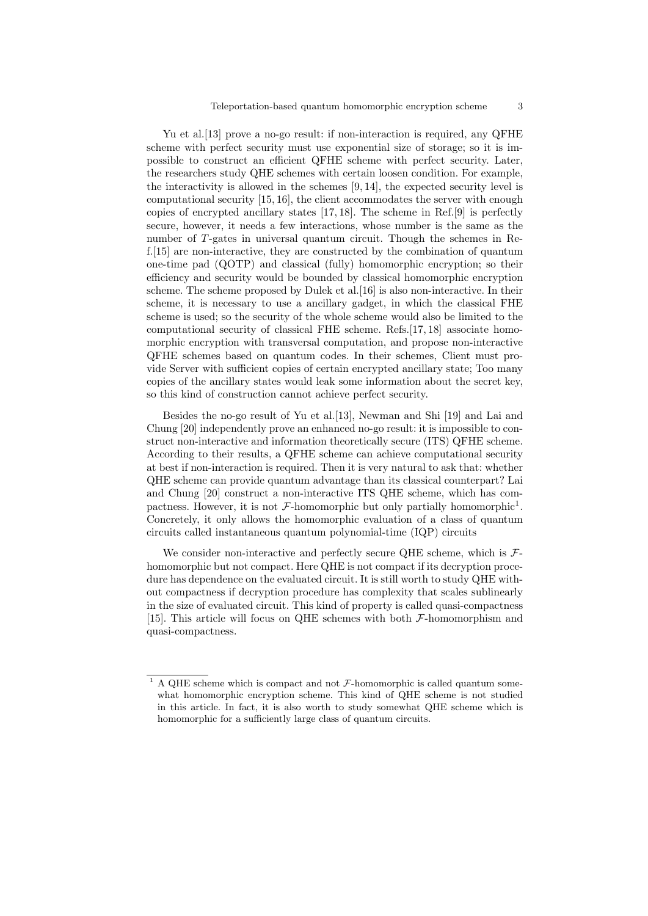Yu et al. [13] prove a no-go result: if non-interaction is required, any QFHE scheme with perfect security must use exponential size of storage; so it is impossible to construct an efficient QFHE scheme with perfect security. Later, the researchers study QHE schemes with certain loosen condition. For example, the interactivity is allowed in the schemes [9, 14], the expected security level is computational security [15, 16], the client accommodates the server with enough copies of encrypted ancillary states [17, 18]. The scheme in Ref.[9] is perfectly secure, however, it needs a few interactions, whose number is the same as the number of T-gates in universal quantum circuit. Though the schemes in Ref.[15] are non-interactive, they are constructed by the combination of quantum one-time pad (QOTP) and classical (fully) homomorphic encryption; so their efficiency and security would be bounded by classical homomorphic encryption scheme. The scheme proposed by Dulek et al.[16] is also non-interactive. In their scheme, it is necessary to use a ancillary gadget, in which the classical FHE scheme is used; so the security of the whole scheme would also be limited to the computational security of classical FHE scheme. Refs.[17, 18] associate homomorphic encryption with transversal computation, and propose non-interactive QFHE schemes based on quantum codes. In their schemes, Client must provide Server with sufficient copies of certain encrypted ancillary state; Too many copies of the ancillary states would leak some information about the secret key, so this kind of construction cannot achieve perfect security.

Besides the no-go result of Yu et al.[13], Newman and Shi [19] and Lai and Chung [20] independently prove an enhanced no-go result: it is impossible to construct non-interactive and information theoretically secure (ITS) QFHE scheme. According to their results, a QFHE scheme can achieve computational security at best if non-interaction is required. Then it is very natural to ask that: whether QHE scheme can provide quantum advantage than its classical counterpart? Lai and Chung [20] construct a non-interactive ITS QHE scheme, which has compactness. However, it is not  $\mathcal{F}\text{-}\mathrm{homomorphic}$  but only partially homomorphic<sup>1</sup>. Concretely, it only allows the homomorphic evaluation of a class of quantum circuits called instantaneous quantum polynomial-time (IQP) circuits

We consider non-interactive and perfectly secure QHE scheme, which is  $\mathcal{F}$ homomorphic but not compact. Here QHE is not compact if its decryption procedure has dependence on the evaluated circuit. It is still worth to study QHE without compactness if decryption procedure has complexity that scales sublinearly in the size of evaluated circuit. This kind of property is called quasi-compactness [15]. This article will focus on QHE schemes with both F-homomorphism and quasi-compactness.

 $^1$  A QHE scheme which is compact and not  $\mathcal F\text{-}\mathrm{homomorphic}$  is called quantum somewhat homomorphic encryption scheme. This kind of QHE scheme is not studied in this article. In fact, it is also worth to study somewhat QHE scheme which is homomorphic for a sufficiently large class of quantum circuits.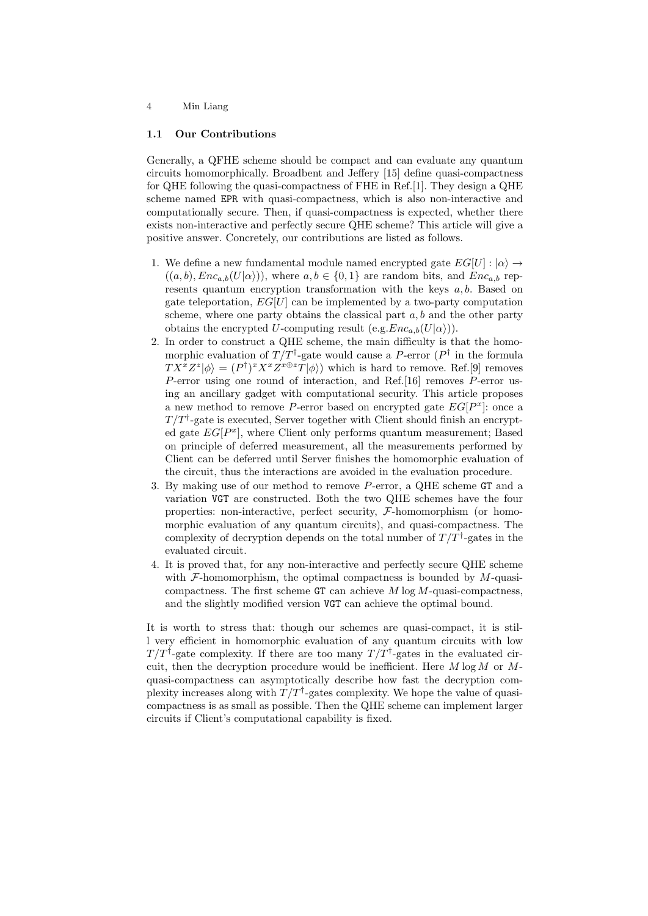### 1.1 Our Contributions

Generally, a QFHE scheme should be compact and can evaluate any quantum circuits homomorphically. Broadbent and Jeffery [15] define quasi-compactness for QHE following the quasi-compactness of FHE in Ref.[1]. They design a QHE scheme named EPR with quasi-compactness, which is also non-interactive and computationally secure. Then, if quasi-compactness is expected, whether there exists non-interactive and perfectly secure QHE scheme? This article will give a positive answer. Concretely, our contributions are listed as follows.

- 1. We define a new fundamental module named encrypted gate  $EG[U]: |\alpha\rangle \rightarrow$  $((a, b), Enc_{a,b}(U|\alpha)))$ , where  $a, b \in \{0, 1\}$  are random bits, and  $Enc_{a,b}$  represents quantum encryption transformation with the keys  $a, b$ . Based on gate teleportation,  $EG[U]$  can be implemented by a two-party computation scheme, where one party obtains the classical part  $a, b$  and the other party obtains the encrypted U-computing result  $(e.g.Enc_{a,b}(U|\alpha))$ .
- 2. In order to construct a QHE scheme, the main difficulty is that the homomorphic evaluation of  $T/T^{\dagger}$ -gate would cause a P-error  $(P^{\dagger})$  in the formula  $TX^x Z^z |\phi\rangle = (P^{\dagger})^x X^x Z^{x \oplus z} T |\phi\rangle$  which is hard to remove. Ref. [9] removes P-error using one round of interaction, and Ref.[16] removes P-error using an ancillary gadget with computational security. This article proposes a new method to remove P-error based on encrypted gate  $EG[P^x]$ : once a  $T/T^{\dagger}$ -gate is executed, Server together with Client should finish an encrypted gate  $EG[P^x]$ , where Client only performs quantum measurement; Based on principle of deferred measurement, all the measurements performed by Client can be deferred until Server finishes the homomorphic evaluation of the circuit, thus the interactions are avoided in the evaluation procedure.
- 3. By making use of our method to remove P-error, a QHE scheme GT and a variation VGT are constructed. Both the two QHE schemes have the four properties: non-interactive, perfect security, F-homomorphism (or homomorphic evaluation of any quantum circuits), and quasi-compactness. The complexity of decryption depends on the total number of  $T/T^{\dagger}$ -gates in the evaluated circuit.
- 4. It is proved that, for any non-interactive and perfectly secure QHE scheme with  $F$ -homomorphism, the optimal compactness is bounded by  $M$ -quasicompactness. The first scheme  $GT$  can achieve  $M \log M$ -quasi-compactness, and the slightly modified version VGT can achieve the optimal bound.

It is worth to stress that: though our schemes are quasi-compact, it is still very efficient in homomorphic evaluation of any quantum circuits with low  $T/T^{\dagger}$ -gate complexity. If there are too many  $T/T^{\dagger}$ -gates in the evaluated circuit, then the decryption procedure would be inefficient. Here  $M \log M$  or  $M$ quasi-compactness can asymptotically describe how fast the decryption complexity increases along with  $T/T^{\dagger}$ -gates complexity. We hope the value of quasicompactness is as small as possible. Then the QHE scheme can implement larger circuits if Client's computational capability is fixed.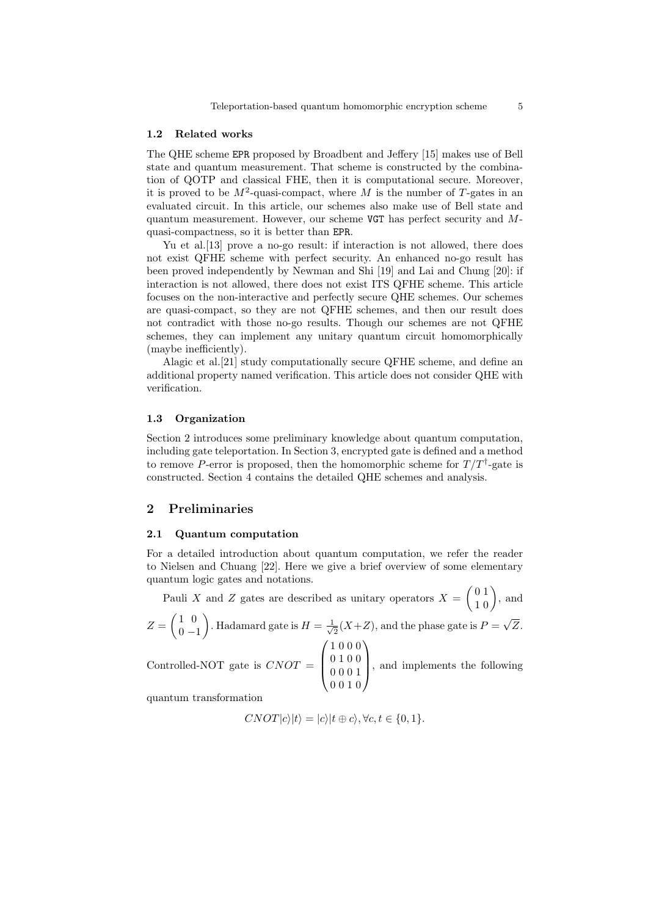#### 1.2 Related works

The QHE scheme EPR proposed by Broadbent and Jeffery [15] makes use of Bell state and quantum measurement. That scheme is constructed by the combination of QOTP and classical FHE, then it is computational secure. Moreover, it is proved to be  $M^2$ -quasi-compact, where M is the number of T-gates in an evaluated circuit. In this article, our schemes also make use of Bell state and quantum measurement. However, our scheme VGT has perfect security and Mquasi-compactness, so it is better than EPR.

Yu et al.[13] prove a no-go result: if interaction is not allowed, there does not exist QFHE scheme with perfect security. An enhanced no-go result has been proved independently by Newman and Shi [19] and Lai and Chung [20]: if interaction is not allowed, there does not exist ITS QFHE scheme. This article focuses on the non-interactive and perfectly secure QHE schemes. Our schemes are quasi-compact, so they are not QFHE schemes, and then our result does not contradict with those no-go results. Though our schemes are not QFHE schemes, they can implement any unitary quantum circuit homomorphically (maybe inefficiently).

Alagic et al.[21] study computationally secure QFHE scheme, and define an additional property named verification. This article does not consider QHE with verification.

#### 1.3 Organization

Section 2 introduces some preliminary knowledge about quantum computation, including gate teleportation. In Section 3, encrypted gate is defined and a method to remove P-error is proposed, then the homomorphic scheme for  $T/T^{\dagger}$ -gate is constructed. Section 4 contains the detailed QHE schemes and analysis.

# 2 Preliminaries

#### 2.1 Quantum computation

For a detailed introduction about quantum computation, we refer the reader to Nielsen and Chuang [22]. Here we give a brief overview of some elementary quantum logic gates and notations.

Pauli X and Z gates are described as unitary operators  $X = \begin{pmatrix} 0 & 1 \\ 1 & 0 \end{pmatrix}$ , and  $Z=\begin{pmatrix} 1 & 0 \\ 0 & 0 \end{pmatrix}$  $0 -1$ ). Hadamard gate is  $H = \frac{1}{\sqrt{2}}$  $\frac{1}{2}(X+Z)$ , and the phase gate is  $P =$ √ Z.  $\sqrt{ }$ 1 0 0 0 0 1 0 0  $\setminus$ 

Controlled-NOT gate is  $CNOT =$  $\overline{\mathcal{L}}$ 0 0 0 1 0 0 1 0 , and implements the following

quantum transformation

$$
CNOT|c\rangle|t\rangle = |c\rangle|t \oplus c\rangle, \forall c, t \in \{0, 1\}.
$$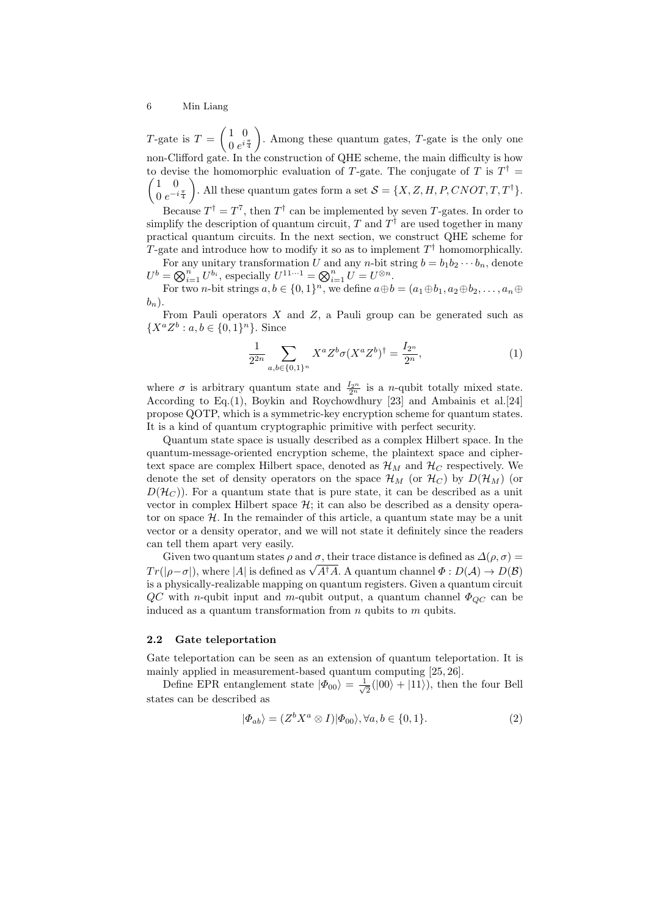T-gate is  $T = \begin{pmatrix} 1 & 0 \\ 0 & i \end{pmatrix}$  $0 e^{i\frac{\pi}{4}}$ ). Among these quantum gates,  $T$ -gate is the only one non-Clifford gate. In the construction of QHE scheme, the main difficulty is how to devise the homomorphic evaluation of T-gate. The conjugate of T is  $T^{\dagger}$  =  $(1 \ 0)$  $0 e^{-i\frac{\pi}{4}}$ ). All these quantum gates form a set  $S = \{X, Z, H, P, CNOT, T, T^{\dagger}\}.$ 

Because  $T^{\dagger} = T^{7}$ , then  $T^{\dagger}$  can be implemented by seven T-gates. In order to simplify the description of quantum circuit, T and  $T^{\dagger}$  are used together in many practical quantum circuits. In the next section, we construct QHE scheme for T-gate and introduce how to modify it so as to implement  $T^{\dagger}$  homomorphically.

For any unitary transformation U and any n-bit string  $b = b_1b_2 \cdots b_n$ , denote  $U^b = \bigotimes_{i=1}^n U^{b_i}$ , especially  $U^{11...1} = \bigotimes_{i=1}^n U = U^{\otimes n}$ .

For two *n*-bit strings  $a, b \in \{0, 1\}^n$ , we define  $a \oplus b = (a_1 \oplus b_1, a_2 \oplus b_2, \ldots, a_n \oplus b_n)$  $b_n$ ).

From Pauli operators  $X$  and  $Z$ , a Pauli group can be generated such as  $\{X^a Z^b : a, b \in \{0,1\}^n\}$ . Since

$$
\frac{1}{2^{2n}} \sum_{a,b \in \{0,1\}^n} X^a Z^b \sigma (X^a Z^b)^\dagger = \frac{I_{2^n}}{2^n},\tag{1}
$$

where  $\sigma$  is arbitrary quantum state and  $\frac{I_{2^n}}{2^n}$  is a *n*-qubit totally mixed state. According to Eq.(1), Boykin and Roychowdhury [23] and Ambainis et al.[24] propose QOTP, which is a symmetric-key encryption scheme for quantum states. It is a kind of quantum cryptographic primitive with perfect security.

Quantum state space is usually described as a complex Hilbert space. In the quantum-message-oriented encryption scheme, the plaintext space and ciphertext space are complex Hilbert space, denoted as  $\mathcal{H}_M$  and  $\mathcal{H}_C$  respectively. We denote the set of density operators on the space  $\mathcal{H}_M$  (or  $\mathcal{H}_C$ ) by  $D(\mathcal{H}_M)$  (or  $D(\mathcal{H}_C)$ . For a quantum state that is pure state, it can be described as a unit vector in complex Hilbert space  $H$ ; it can also be described as a density operator on space  $H$ . In the remainder of this article, a quantum state may be a unit vector or a density operator, and we will not state it definitely since the readers can tell them apart very easily.

Given two quantum states  $\rho$  and  $\sigma$ , their trace distance is defined as  $\Delta(\rho, \sigma) =$ Given two quantum states  $\rho$  and  $\sigma$ , their trace distance is defined as  $\Delta(\rho, \sigma) = Tr(|\rho - \sigma|)$ , where  $|A|$  is defined as  $\sqrt{A^{\dagger}A}$ . A quantum channel  $\Phi : D(\mathcal{A}) \to D(\mathcal{B})$ is a physically-realizable mapping on quantum registers. Given a quantum circuit  $QC$  with n-qubit input and m-qubit output, a quantum channel  $\Phi_{OC}$  can be induced as a quantum transformation from  $n$  qubits to  $m$  qubits.

#### 2.2 Gate teleportation

Gate teleportation can be seen as an extension of quantum teleportation. It is mainly applied in measurement-based quantum computing [25, 26].

Define EPR entanglement state  $|\Phi_{00}\rangle = \frac{1}{\sqrt{2}}$  $\frac{1}{2}(|00\rangle + |11\rangle)$ , then the four Bell states can be described as

$$
|\Phi_{ab}\rangle = (Z^b X^a \otimes I)|\Phi_{00}\rangle, \forall a, b \in \{0, 1\}.
$$
 (2)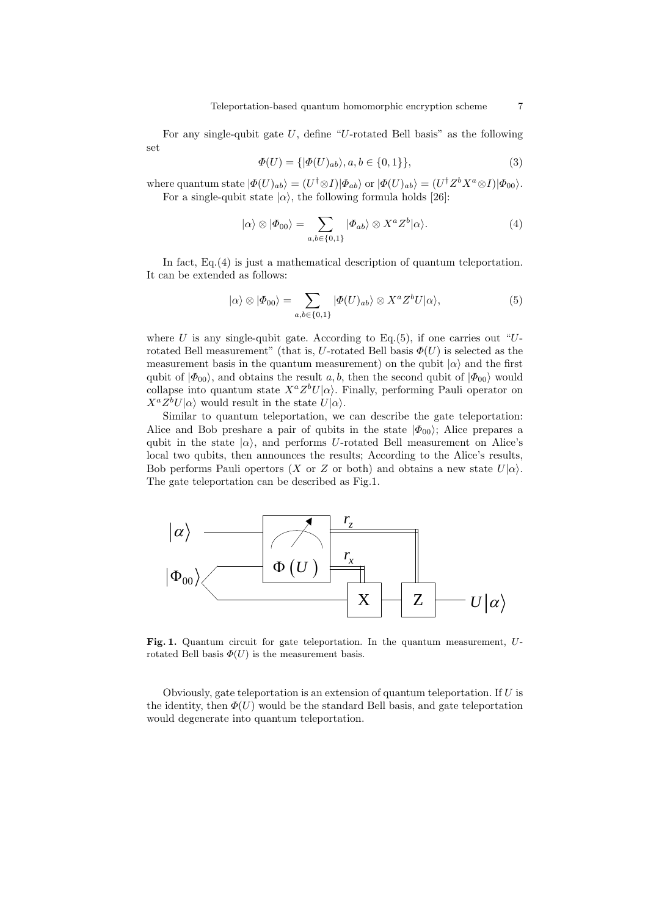For any single-qubit gate  $U$ , define "U-rotated Bell basis" as the following set

$$
\Phi(U) = \{ |\Phi(U)_{ab}\rangle, a, b \in \{0, 1\} \},\tag{3}
$$

where quantum state  $|\Phi(U)_{ab}\rangle = (U^\dagger \otimes I)|\Phi_{ab}\rangle$  or  $|\Phi(U)_{ab}\rangle = (U^\dagger Z^b X^a \otimes I)|\Phi_{00}\rangle$ . For a single-qubit state  $|\alpha\rangle$ , the following formula holds [26]:

$$
|\alpha\rangle \otimes |\Phi_{00}\rangle = \sum_{a,b \in \{0,1\}} |\Phi_{ab}\rangle \otimes X^a Z^b |\alpha\rangle.
$$
 (4)

In fact, Eq.(4) is just a mathematical description of quantum teleportation. It can be extended as follows:

$$
|\alpha\rangle \otimes |\Phi_{00}\rangle = \sum_{a,b \in \{0,1\}} |\Phi(U)_{ab}\rangle \otimes X^a Z^b U |\alpha\rangle, \tag{5}
$$

where U is any single-qubit gate. According to Eq.(5), if one carries out "Urotated Bell measurement" (that is, U-rotated Bell basis  $\Phi(U)$ ) is selected as the measurement basis in the quantum measurement) on the qubit  $|\alpha\rangle$  and the first qubit of  $|\Phi_{00}\rangle$ , and obtains the result a, b, then the second qubit of  $|\Phi_{00}\rangle$  would collapse into quantum state  $X^a Z^b U |\alpha\rangle$ . Finally, performing Pauli operator on  $X^a Z^b U |\alpha\rangle$  would result in the state  $U |\alpha\rangle$ .

Similar to quantum teleportation, we can describe the gate teleportation: Alice and Bob preshare a pair of qubits in the state  $|\Phi_{00}\rangle$ ; Alice prepares a qubit in the state  $|\alpha\rangle$ , and performs U-rotated Bell measurement on Alice's local two qubits, then announces the results; According to the Alice's results, Bob performs Pauli opertors (X or Z or both) and obtains a new state  $U|\alpha\rangle$ . The gate teleportation can be described as Fig.1.



Fig. 1. Quantum circuit for gate teleportation. In the quantum measurement, Urotated Bell basis  $\Phi(U)$  is the measurement basis.

Obviously, gate teleportation is an extension of quantum teleportation. If U is the identity, then  $\Phi(U)$  would be the standard Bell basis, and gate teleportation would degenerate into quantum teleportation.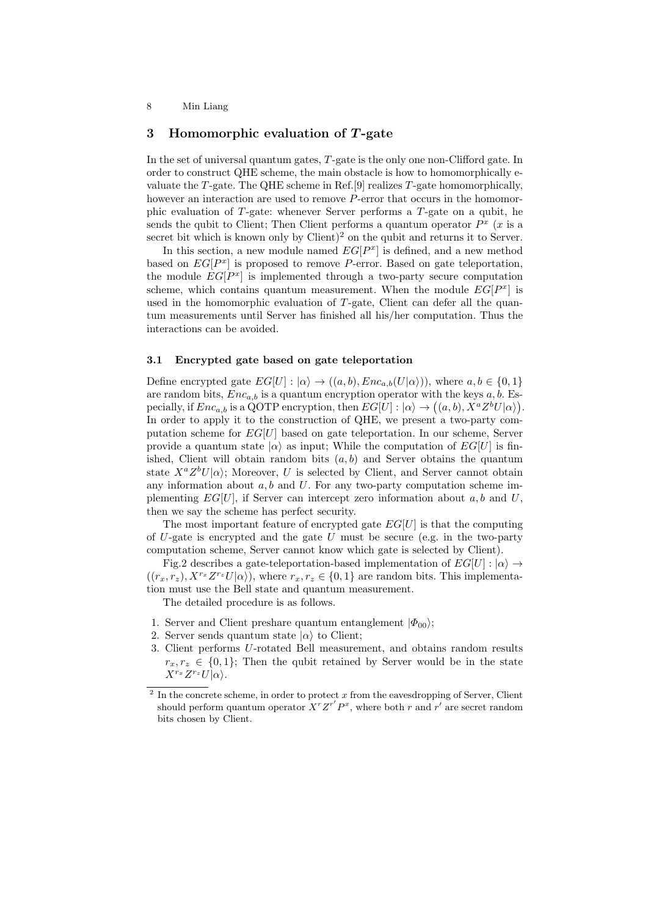# 3 Homomorphic evaluation of  $T$ -gate

In the set of universal quantum gates, T-gate is the only one non-Clifford gate. In order to construct QHE scheme, the main obstacle is how to homomorphically evaluate the T-gate. The QHE scheme in Ref. [9] realizes  $T$ -gate homomorphically, however an interaction are used to remove P-error that occurs in the homomorphic evaluation of  $T$ -gate: whenever Server performs a  $T$ -gate on a qubit, he sends the qubit to Client; Then Client performs a quantum operator  $P^x$  (x is a secret bit which is known only by Client)<sup>2</sup> on the qubit and returns it to Server.

In this section, a new module named  $EG[P^x]$  is defined, and a new method based on  $EG[P^x]$  is proposed to remove P-error. Based on gate teleportation, the module  $EG[P^x]$  is implemented through a two-party secure computation scheme, which contains quantum measurement. When the module  $EG[P^x]$  is used in the homomorphic evaluation of T-gate, Client can defer all the quantum measurements until Server has finished all his/her computation. Thus the interactions can be avoided.

### 3.1 Encrypted gate based on gate teleportation

Define encrypted gate  $EG[U] : |\alpha\rangle \to ((a, b), Enc_{a, b}(U|\alpha))$ , where  $a, b \in \{0, 1\}$ are random bits,  $Enc_{a,b}$  is a quantum encryption operator with the keys  $a, b$ . Especially, if  $Enc_{a,b}$  is a QOTP encryption, then  $EG[U] : |\alpha\rangle \to ((a,b), X^a Z^b U |\alpha\rangle)$ . In order to apply it to the construction of QHE, we present a two-party computation scheme for  $EG[U]$  based on gate teleportation. In our scheme, Server provide a quantum state  $|\alpha\rangle$  as input; While the computation of  $EG[U]$  is finished, Client will obtain random bits  $(a, b)$  and Server obtains the quantum state  $X^a Z^b U|\alpha\rangle$ ; Moreover, U is selected by Client, and Server cannot obtain any information about  $a, b$  and  $U$ . For any two-party computation scheme implementing  $EG[U]$ , if Server can intercept zero information about  $a, b$  and  $U$ , then we say the scheme has perfect security.

The most important feature of encrypted gate  $EG[U]$  is that the computing of  $U$ -gate is encrypted and the gate  $U$  must be secure (e.g. in the two-party computation scheme, Server cannot know which gate is selected by Client).

Fig.2 describes a gate-teleportation-based implementation of  $EG[U]: |\alpha\rangle \rightarrow$  $((r_x, r_z), X^{r_x}Z^{r_z}U|\alpha\rangle)$ , where  $r_x, r_z \in \{0, 1\}$  are random bits. This implementation must use the Bell state and quantum measurement.

The detailed procedure is as follows.

- 1. Server and Client preshare quantum entanglement  $|\Phi_{00}\rangle$ ;
- 2. Server sends quantum state  $|\alpha\rangle$  to Client;
- 3. Client performs U-rotated Bell measurement, and obtains random results  $r_r, r_\tau \in \{0, 1\}$ : Then the qubit retained by Server would be in the state  $X^{r_x}Z^{r_z}U|\alpha\rangle.$

 $2\text{ In the concrete scheme, in order to protect }x \text{ from the eavesdropping of Server, Client}$ should perform quantum operator  $\overline{X}^r \overline{Z}^{r'} P^x$ , where both r and r' are secret random bits chosen by Client.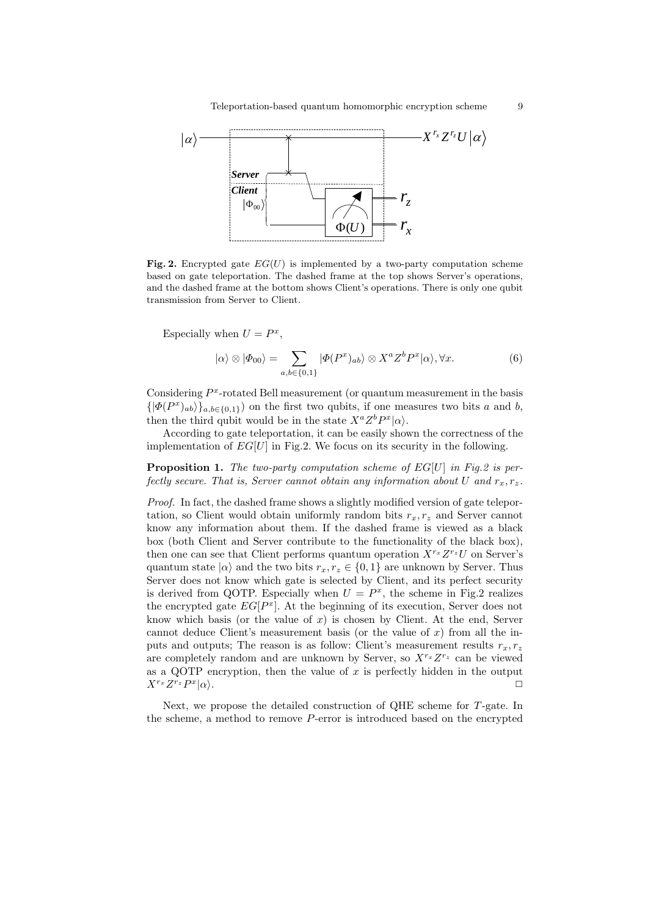

Fig. 2. Encrypted gate  $EG(U)$  is implemented by a two-party computation scheme based on gate teleportation. The dashed frame at the top shows Server's operations, and the dashed frame at the bottom shows Client's operations. There is only one qubit transmission from Server to Client.

Especially when  $U = P^x$ ,

$$
|\alpha\rangle \otimes |\Phi_{00}\rangle = \sum_{a,b \in \{0,1\}} |\Phi(P^x)_{ab}\rangle \otimes X^a Z^b P^x |\alpha\rangle, \forall x.
$$
 (6)

Considering  $P^x$ -rotated Bell measurement (or quantum measurement in the basis  $\{|\Phi(P^x)_{ab}\rangle\}_{a,b\in\{0,1\}}$  on the first two qubits, if one measures two bits a and b, then the third qubit would be in the state  $X^a Z^b P^x |\alpha\rangle$ .

According to gate teleportation, it can be easily shown the correctness of the implementation of  $EG[U]$  in Fig.2. We focus on its security in the following.

**Proposition 1.** The two-party computation scheme of  $EG[U]$  in Fig.2 is perfectly secure. That is, Server cannot obtain any information about U and  $r_x, r_z$ .

Proof. In fact, the dashed frame shows a slightly modified version of gate teleportation, so Client would obtain uniformly random bits  $r_x, r_z$  and Server cannot know any information about them. If the dashed frame is viewed as a black box (both Client and Server contribute to the functionality of the black box), then one can see that Client performs quantum operation  $X^{r_x}Z^{r_z}U$  on Server's quantum state  $|\alpha\rangle$  and the two bits  $r_x, r_z \in \{0, 1\}$  are unknown by Server. Thus Server does not know which gate is selected by Client, and its perfect security is derived from QOTP. Especially when  $U = P^x$ , the scheme in Fig.2 realizes the encrypted gate  $EG[P^x]$ . At the beginning of its execution, Server does not know which basis (or the value of  $x$ ) is chosen by Client. At the end, Server cannot deduce Client's measurement basis (or the value of  $x$ ) from all the inputs and outputs; The reason is as follow: Client's measurement results  $r_x, r_z$ are completely random and are unknown by Server, so  $X^{r_x}Z^{r_z}$  can be viewed as a QOTP encryption, then the value of  $x$  is perfectly hidden in the output  $X^{r_x}Z^{r_z}P^x$  $|\alpha\rangle$ .

Next, we propose the detailed construction of QHE scheme for T-gate. In the scheme, a method to remove P-error is introduced based on the encrypted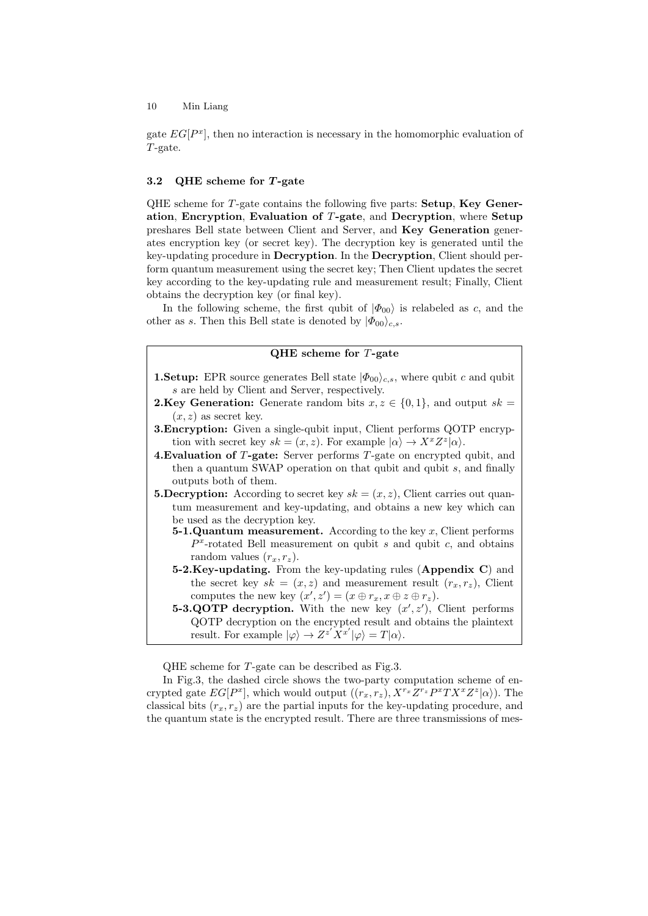gate  $EG[P^x]$ , then no interaction is necessary in the homomorphic evaluation of T-gate.

# 3.2 QHE scheme for  $T$ -gate

QHE scheme for T-gate contains the following five parts: Setup, Key Generation, Encryption, Evaluation of T-gate, and Decryption, where Setup preshares Bell state between Client and Server, and Key Generation generates encryption key (or secret key). The decryption key is generated until the key-updating procedure in Decryption. In the Decryption, Client should perform quantum measurement using the secret key; Then Client updates the secret key according to the key-updating rule and measurement result; Finally, Client obtains the decryption key (or final key).

In the following scheme, the first qubit of  $|\Phi_{00}\rangle$  is relabeled as c, and the other as s. Then this Bell state is denoted by  $|\Phi_{00}\rangle_{c,s}$ .

# QHE scheme for T-gate

- **1.Setup:** EPR source generates Bell state  $|\Phi_{00}\rangle_{c,s}$ , where qubit c and qubit s are held by Client and Server, respectively.
- **2.Key Generation:** Generate random bits  $x, z \in \{0, 1\}$ , and output  $sk =$  $(x, z)$  as secret key.
- **3. Encryption:** Given a single-qubit input, Client performs QOTP encryption with secret key  $sk = (x, z)$ . For example  $|\alpha\rangle \rightarrow X^x Z^z |\alpha\rangle$ .
- 4.Evaluation of T-gate: Server performs T-gate on encrypted qubit, and then a quantum SWAP operation on that qubit and qubit s, and finally outputs both of them.
- **5.Decryption:** According to secret key  $sk = (x, z)$ , Client carries out quantum measurement and key-updating, and obtains a new key which can be used as the decryption key.
	- **5-1.Quantum measurement.** According to the key x, Client performs  $P<sup>x</sup>$ -rotated Bell measurement on qubit s and qubit c, and obtains random values  $(r_x, r_z)$ .
	- 5-2. Key-updating. From the key-updating rules (Appendix C) and the secret key  $sk = (x, z)$  and measurement result  $(r_x, r_z)$ , Client computes the new key  $(x', z') = (x \oplus r_x, x \oplus z \oplus r_z).$
	- 5-3.QOTP decryption. With the new key  $(x', z')$ , Client performs QOTP decryption on the encrypted result and obtains the plaintext result. For example  $|\varphi\rangle \to Z^{z'} X^{x'} |\varphi\rangle = T |\alpha\rangle$ .

QHE scheme for T-gate can be described as Fig.3.

In Fig.3, the dashed circle shows the two-party computation scheme of encrypted gate  $EG[P^x]$ , which would output  $((r_x, r_z), X^{r_x}Z^{r_z}P^xTX^xZ^z|\alpha\rangle)$ . The classical bits  $(r_x, r_z)$  are the partial inputs for the key-updating procedure, and the quantum state is the encrypted result. There are three transmissions of mes-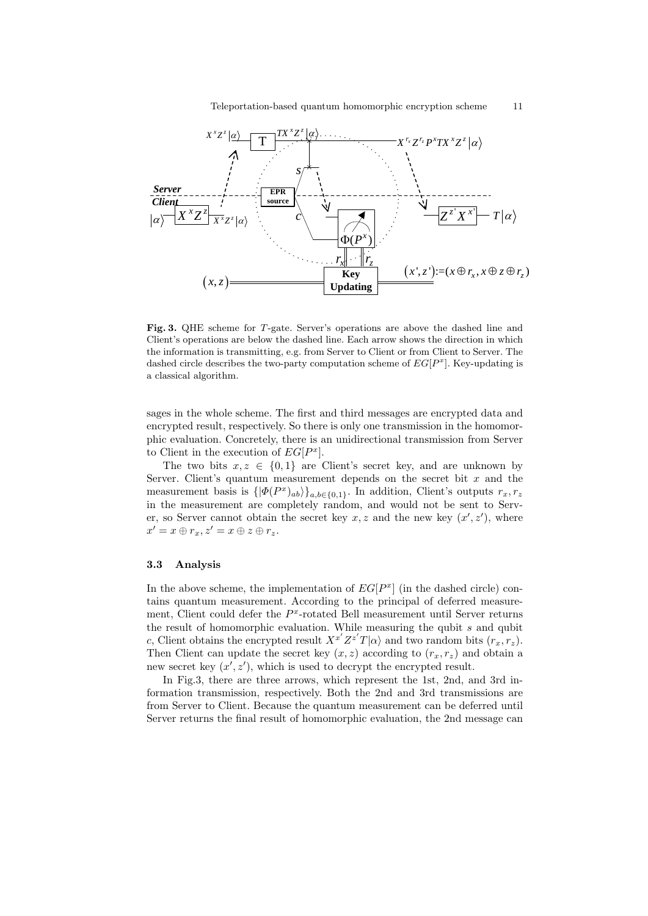

Fig. 3. QHE scheme for T-gate. Server's operations are above the dashed line and Client's operations are below the dashed line. Each arrow shows the direction in which the information is transmitting, e.g. from Server to Client or from Client to Server. The dashed circle describes the two-party computation scheme of  $EG[P^x]$ . Key-updating is a classical algorithm.

sages in the whole scheme. The first and third messages are encrypted data and encrypted result, respectively. So there is only one transmission in the homomorphic evaluation. Concretely, there is an unidirectional transmission from Server to Client in the execution of  $EG[P^x]$ .

The two bits  $x, z \in \{0, 1\}$  are Client's secret key, and are unknown by Server. Client's quantum measurement depends on the secret bit  $x$  and the measurement basis is  $\{|\Phi(P^x)_{ab}\rangle\}_{a,b\in\{0,1\}}$ . In addition, Client's outputs  $r_x, r_z$ in the measurement are completely random, and would not be sent to Server, so Server cannot obtain the secret key  $x, z$  and the new key  $(x', z')$ , where  $x' = x \oplus r_x, z' = x \oplus z \oplus r_z.$ 

#### 3.3 Analysis

In the above scheme, the implementation of  $EG[P^x]$  (in the dashed circle) contains quantum measurement. According to the principal of deferred measurement, Client could defer the  $P<sup>x</sup>$ -rotated Bell measurement until Server returns the result of homomorphic evaluation. While measuring the qubit  $s$  and qubit c, Client obtains the encrypted result  $X^{x'}Z^{z'}T|\alpha\rangle$  and two random bits  $(r_x, r_z)$ . Then Client can update the secret key  $(x, z)$  according to  $(r_x, r_z)$  and obtain a new secret key  $(x', z')$ , which is used to decrypt the encrypted result.

In Fig.3, there are three arrows, which represent the 1st, 2nd, and 3rd information transmission, respectively. Both the 2nd and 3rd transmissions are from Server to Client. Because the quantum measurement can be deferred until Server returns the final result of homomorphic evaluation, the 2nd message can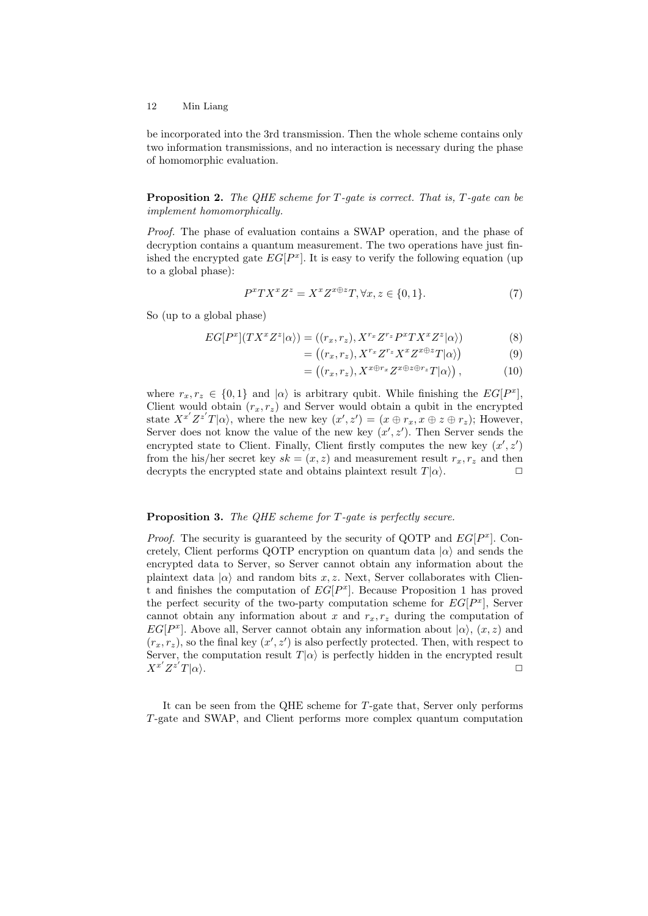be incorporated into the 3rd transmission. Then the whole scheme contains only two information transmissions, and no interaction is necessary during the phase of homomorphic evaluation.

**Proposition 2.** The QHE scheme for  $T$ -gate is correct. That is,  $T$ -gate can be implement homomorphically.

Proof. The phase of evaluation contains a SWAP operation, and the phase of decryption contains a quantum measurement. The two operations have just finished the encrypted gate  $EG[P^x]$ . It is easy to verify the following equation (up to a global phase):

$$
P^x TX^x Z^z = X^x Z^{x \oplus z} T, \forall x, z \in \{0, 1\}.
$$
 (7)

So (up to a global phase)

$$
EG[P^x](TX^xZ^z|\alpha\rangle) = ((r_x, r_z), X^{r_x}Z^{r_z}P^xTX^xZ^z|\alpha\rangle)
$$
\n(8)

$$
= ((r_x, r_z), X^{r_x} Z^{r_z} X^x Z^{x \oplus z} T | \alpha \rangle)
$$
\n<sup>(9)</sup>

$$
= ((r_x, r_z), X^{x \oplus r_x} Z^{x \oplus z \oplus r_z} T | \alpha \rangle), \qquad (10)
$$

where  $r_x, r_z \in \{0, 1\}$  and  $|\alpha\rangle$  is arbitrary qubit. While finishing the  $EG[P^x]$ , Client would obtain  $(r_x, r_z)$  and Server would obtain a qubit in the encrypted state  $X^{x'}Z^{z'}T|\alpha\rangle$ , where the new key  $(x', z') = (x \oplus r_x, x \oplus z \oplus r_z)$ ; However, Server does not know the value of the new key  $(x', z')$ . Then Server sends the encrypted state to Client. Finally, Client firstly computes the new key  $(x', z')$ from the his/her secret key  $sk = (x, z)$  and measurement result  $r_x, r_z$  and then decrypts the encrypted state and obtains plaintext result  $T|\alpha\rangle$ .

# Proposition 3. The QHE scheme for T-gate is perfectly secure.

*Proof.* The security is guaranteed by the security of QOTP and  $EG[P^x]$ . Concretely, Client performs QOTP encryption on quantum data  $|\alpha\rangle$  and sends the encrypted data to Server, so Server cannot obtain any information about the plaintext data  $|\alpha\rangle$  and random bits x, z. Next, Server collaborates with Client and finishes the computation of  $EG[P^x]$ . Because Proposition 1 has proved the perfect security of the two-party computation scheme for  $EG[P^x]$ , Server cannot obtain any information about x and  $r_x, r_z$  during the computation of EG[ $P^x$ ]. Above all, Server cannot obtain any information about  $|\alpha\rangle$ ,  $(x, z)$  and  $(r_x, r_z)$ , so the final key  $(x', z')$  is also perfectly protected. Then, with respect to Server, the computation result  $T|\alpha\rangle$  is perfectly hidden in the encrypted result  $X^{x^{\prime}}Z^{z^{\prime}}$  $T|\alpha\rangle$ .

It can be seen from the QHE scheme for T-gate that, Server only performs T-gate and SWAP, and Client performs more complex quantum computation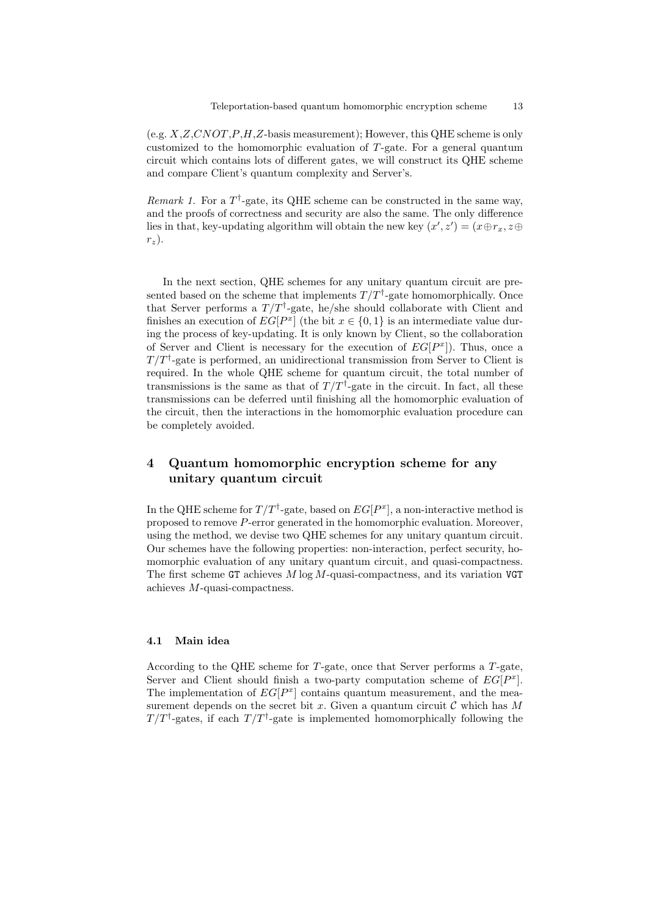(e.g.  $X,Z,CNOT, P,H,Z$ -basis measurement); However, this QHE scheme is only customized to the homomorphic evaluation of T-gate. For a general quantum circuit which contains lots of different gates, we will construct its QHE scheme and compare Client's quantum complexity and Server's.

Remark 1. For a  $T^{\dagger}$ -gate, its QHE scheme can be constructed in the same way, and the proofs of correctness and security are also the same. The only difference lies in that, key-updating algorithm will obtain the new key  $(x', z') = (x \oplus r_x, z \oplus$  $r_z$ ).

In the next section, QHE schemes for any unitary quantum circuit are presented based on the scheme that implements  $T/T^{\dagger}$ -gate homomorphically. Once that Server performs a  $T/T^{\dagger}$ -gate, he/she should collaborate with Client and finishes an execution of  $EG[P^x]$  (the bit  $x \in \{0,1\}$  is an intermediate value during the process of key-updating. It is only known by Client, so the collaboration of Server and Client is necessary for the execution of  $EG[P^x]$ ). Thus, once a  $T/T^{\dagger}$ -gate is performed, an unidirectional transmission from Server to Client is required. In the whole QHE scheme for quantum circuit, the total number of transmissions is the same as that of  $T/T^{\dagger}$ -gate in the circuit. In fact, all these transmissions can be deferred until finishing all the homomorphic evaluation of the circuit, then the interactions in the homomorphic evaluation procedure can be completely avoided.

# 4 Quantum homomorphic encryption scheme for any unitary quantum circuit

In the QHE scheme for  $T/T^{\dagger}$ -gate, based on  $EG[P^x]$ , a non-interactive method is proposed to remove P-error generated in the homomorphic evaluation. Moreover, using the method, we devise two QHE schemes for any unitary quantum circuit. Our schemes have the following properties: non-interaction, perfect security, homomorphic evaluation of any unitary quantum circuit, and quasi-compactness. The first scheme GT achieves  $M \log M$ -quasi-compactness, and its variation VGT achieves M-quasi-compactness.

#### 4.1 Main idea

According to the QHE scheme for T-gate, once that Server performs a T-gate, Server and Client should finish a two-party computation scheme of  $EG[P^x]$ . The implementation of  $EG[P^x]$  contains quantum measurement, and the measurement depends on the secret bit x. Given a quantum circuit  $\mathcal C$  which has M  $T/T^{\dagger}$ -gates, if each  $T/T^{\dagger}$ -gate is implemented homomorphically following the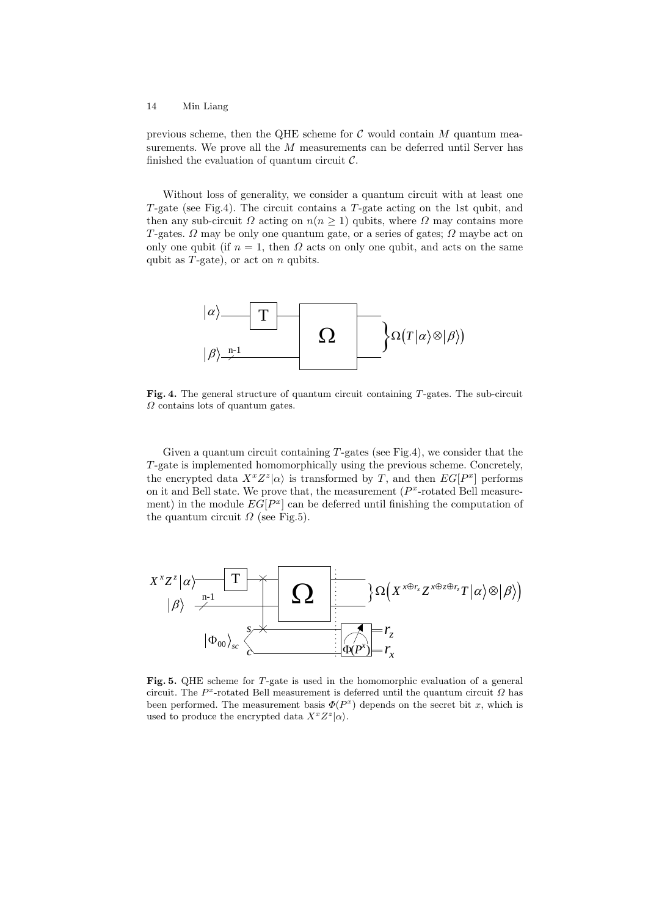previous scheme, then the QHE scheme for  $\mathcal C$  would contain  $M$  quantum measurements. We prove all the M measurements can be deferred until Server has finished the evaluation of quantum circuit  $\mathcal{C}$ .

Without loss of generality, we consider a quantum circuit with at least one T-gate (see Fig.4). The circuit contains a T-gate acting on the 1st qubit, and then any sub-circuit  $\Omega$  acting on  $n(n \geq 1)$  qubits, where  $\Omega$  may contains more T-gates.  $\Omega$  may be only one quantum gate, or a series of gates;  $\Omega$  maybe act on only one qubit (if  $n = 1$ , then  $\Omega$  acts on only one qubit, and acts on the same qubit as  $T$ -gate), or act on  $n$  qubits.



Fig. 4. The general structure of quantum circuit containing T-gates. The sub-circuit  $\Omega$  contains lots of quantum gates.

Given a quantum circuit containing T-gates (see Fig.4), we consider that the T-gate is implemented homomorphically using the previous scheme. Concretely, the encrypted data  $X^x Z^z |\alpha\rangle$  is transformed by T, and then  $EG[P^x]$  performs on it and Bell state. We prove that, the measurement  $(P<sup>x</sup>-rotated Bell measure$ ment) in the module  $EG[P^x]$  can be deferred until finishing the computation of the quantum circuit  $\Omega$  (see Fig.5).



Fig. 5. QHE scheme for T-gate is used in the homomorphic evaluation of a general circuit. The  $P<sup>x</sup>$ -rotated Bell measurement is deferred until the quantum circuit  $\Omega$  has been performed. The measurement basis  $\Phi(P^x)$  depends on the secret bit x, which is used to produce the encrypted data  $X^x Z^z |\alpha\rangle$ .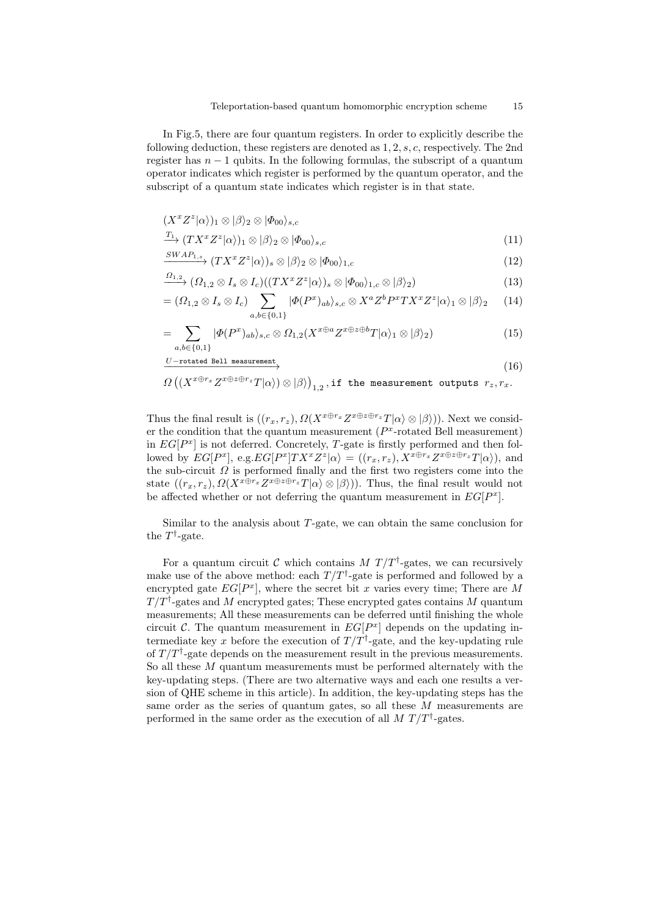In Fig.5, there are four quantum registers. In order to explicitly describe the following deduction, these registers are denoted as 1, 2, s, c, respectively. The 2nd register has  $n - 1$  qubits. In the following formulas, the subscript of a quantum operator indicates which register is performed by the quantum operator, and the subscript of a quantum state indicates which register is in that state.

$$
(X^x Z^z |\alpha\rangle)_1 \otimes |\beta\rangle_2 \otimes |\varPhi_{00}\rangle_{s,c}
$$

$$
\frac{T_1}{T_1} \left( TX^x Z^z | \alpha \rangle \right)_1 \otimes |\beta \rangle_2 \otimes |\Phi_{00} \rangle_{s,c} \tag{11}
$$

$$
\xrightarrow{SWAP_{1,s}} (TX^x Z^z |\alpha\rangle)_s \otimes |\beta\rangle_2 \otimes |\Phi_{00}\rangle_{1,c} \tag{12}
$$

$$
\xrightarrow{\Omega_{1,2}} (\Omega_{1,2} \otimes I_s \otimes I_c)((TX^x Z^z | \alpha))_s \otimes |\Phi_{00}\rangle_{1,c} \otimes |\beta\rangle_2)
$$
\n(13)

$$
= (\Omega_{1,2} \otimes I_s \otimes I_c) \sum_{a,b \in \{0,1\}} |\Phi(P^x)_{ab}\rangle_{s,c} \otimes X^a Z^b P^x TX^x Z^z |\alpha\rangle_1 \otimes |\beta\rangle_2 \tag{14}
$$

$$
= \sum_{a,b \in \{0,1\}} |\Phi(P^x)_{ab}\rangle_{s,c} \otimes \Omega_{1,2}(X^{x \oplus a} Z^{x \oplus z \oplus b} T|\alpha\rangle_1 \otimes |\beta\rangle_2) \tag{15}
$$

$$
\xrightarrow{U-\text{rotated Bell measurement}} \tag{16}
$$

$$
\Omega\left(\left(X^{x\oplus r_x}Z^{x\oplus z\oplus r_z}T|\alpha\rangle\right)\otimes|\beta\rangle\right)_{1,2}, \text{if the measurement outputs } r_z, r_x.
$$

Thus the final result is  $((r_x, r_z), \Omega(X^{x \oplus r_x} Z^{x \oplus z \oplus r_z} T | \alpha \rangle \otimes | \beta \rangle))$ . Next we consider the condition that the quantum measurement  $(P<sup>x</sup>-rotated Bell measurement)$ in  $EG[P^x]$  is not deferred. Concretely, T-gate is firstly performed and then followed by  $EG[P^x]$ , e.g.  $EG[P^x]TX^xZ^z|\alpha\rangle = ((r_x, r_z), X^{x \oplus r_x}Z^{x \oplus z \oplus r_z}T|\alpha\rangle)$ , and the sub-circuit  $\Omega$  is performed finally and the first two registers come into the state  $((r_x, r_z), \Omega(X^{x \oplus r_x} Z^{x \oplus z \oplus r_z} T | \alpha \rangle \otimes | \beta \rangle))$ . Thus, the final result would not be affected whether or not deferring the quantum measurement in  $EG[P^x]$ .

Similar to the analysis about  $T$ -gate, we can obtain the same conclusion for the  $T^{\dagger}$ -gate.

For a quantum circuit C which contains  $M T/T^{\dagger}$ -gates, we can recursively make use of the above method: each  $T/T^{\dagger}$ -gate is performed and followed by a encrypted gate  $EG[P^x]$ , where the secret bit x varies every time; There are M  $T/T^{\dagger}$ -gates and M encrypted gates; These encrypted gates contains M quantum measurements; All these measurements can be deferred until finishing the whole circuit C. The quantum measurement in  $EG[P^x]$  depends on the updating intermediate key x before the execution of  $T/T^{\dagger}$ -gate, and the key-updating rule of  $T/T^{\dagger}$ -gate depends on the measurement result in the previous measurements. So all these  $M$  quantum measurements must be performed alternately with the key-updating steps. (There are two alternative ways and each one results a version of QHE scheme in this article). In addition, the key-updating steps has the same order as the series of quantum gates, so all these M measurements are performed in the same order as the execution of all  $M T/T^{\dagger}$ -gates.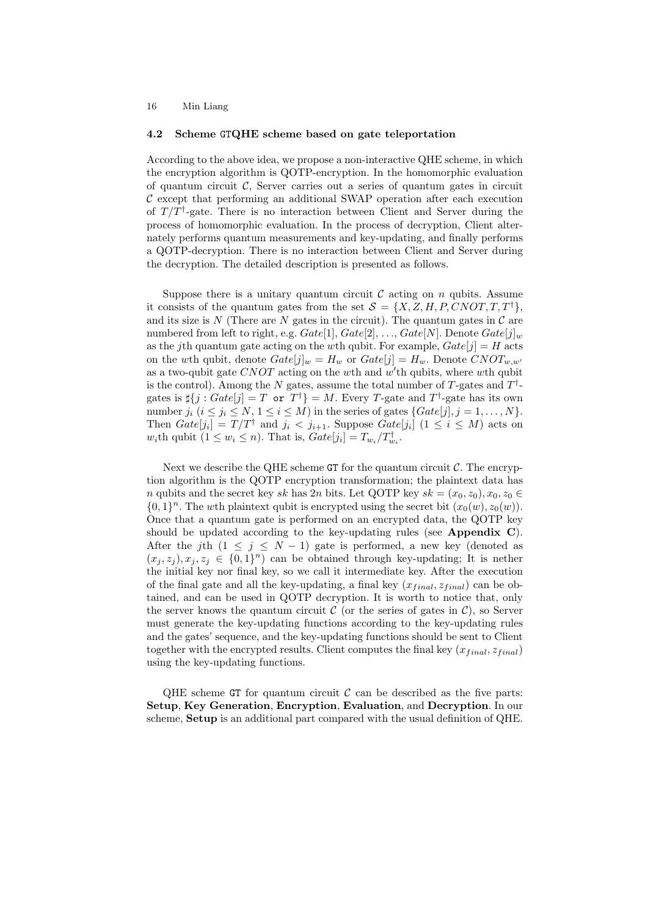#### 4.2 Scheme GTQHE scheme based on gate teleportation

According to the above idea, we propose a non-interactive QHE scheme, in which the encryption algorithm is QOTP-encryption. In the homomorphic evaluation of quantum circuit  $\mathcal{C}$ . Server carries out a series of quantum gates in circuit  $\mathcal C$  except that performing an additional SWAP operation after each execution of  $T/T^{\dagger}$ -gate. There is no interaction between Client and Server during the process of homomorphic evaluation. In the process of decryption, Client alternately performs quantum measurements and key-updating, and finally performs a QOTP-decryption. There is no interaction between Client and Server during the decryption. The detailed description is presented as follows.

Suppose there is a unitary quantum circuit  $\mathcal C$  acting on  $n$  qubits. Assume it consists of the quantum gates from the set  $S = \{X, Z, H, P, CNOT, T, T^{\dagger}\},\$ and its size is N (There are N gates in the circuit). The quantum gates in  $\mathcal C$  are numbered from left to right, e.g.  $Gate[1], Gate[2], ..., Gate[N]$ . Denote  $Gate[j]_w$ as the jth quantum gate acting on the wth qubit. For example,  $Gate[j] = H$  acts on the wth qubit, denote  $Gate[j]_w = H_w$  or  $Gate[j] = H_w$ . Denote  $CNOT_{w,w'}$ as a two-qubit gate CNOT acting on the wth and  $w'$ th qubits, where wth qubit is the control). Among the N gates, assume the total number of T-gates and  $T^{\dagger}$ gates is  $\sharp \{j : Gate[j] = T \text{ or } T^{\dagger}\} = M$ . Every T-gate and  $T^{\dagger}$ -gate has its own number  $j_i$   $(i \leq j_i \leq N, 1 \leq i \leq M)$  in the series of gates  $\{Gate[j], j = 1, \ldots, N\}$ . Then  $Gate[j_i] = T/T^{\dagger}$  and  $j_i < j_{i+1}$ . Suppose  $Gate[j_i]$   $(1 \le i \le M)$  acts on w<sub>i</sub>th qubit  $(1 \leq w_i \leq n)$ . That is,  $Gate[j_i] = T_{w_i}/T_{w_i}^{\dagger}$ .

Next we describe the QHE scheme  $GT$  for the quantum circuit  $\mathcal{C}$ . The encryption algorithm is the QOTP encryption transformation; the plaintext data has n qubits and the secret key sk has 2n bits. Let QOTP key  $sk = (x_0, z_0), x_0, z_0 \in$  $\{0,1\}^n$ . The wth plaintext qubit is encrypted using the secret bit  $(x_0(w), z_0(w))$ . Once that a quantum gate is performed on an encrypted data, the QOTP key should be updated according to the key-updating rules (see Appendix  $C$ ). After the jth  $(1 \le j \le N - 1)$  gate is performed, a new key (denoted as  $(x_j, z_j), x_j, z_j \in \{0, 1\}^n$  can be obtained through key-updating; It is nether the initial key nor final key, so we call it intermediate key. After the execution of the final gate and all the key-updating, a final key  $(x_{final}, z_{final})$  can be obtained, and can be used in QOTP decryption. It is worth to notice that, only the server knows the quantum circuit  $\mathcal C$  (or the series of gates in  $\mathcal C$ ), so Server must generate the key-updating functions according to the key-updating rules and the gates' sequence, and the key-updating functions should be sent to Client together with the encrypted results. Client computes the final key  $(x_{final}, z_{final})$ using the key-updating functions.

QHE scheme GT for quantum circuit  $\mathcal C$  can be described as the five parts: Setup, Key Generation, Encryption, Evaluation, and Decryption. In our scheme, Setup is an additional part compared with the usual definition of QHE.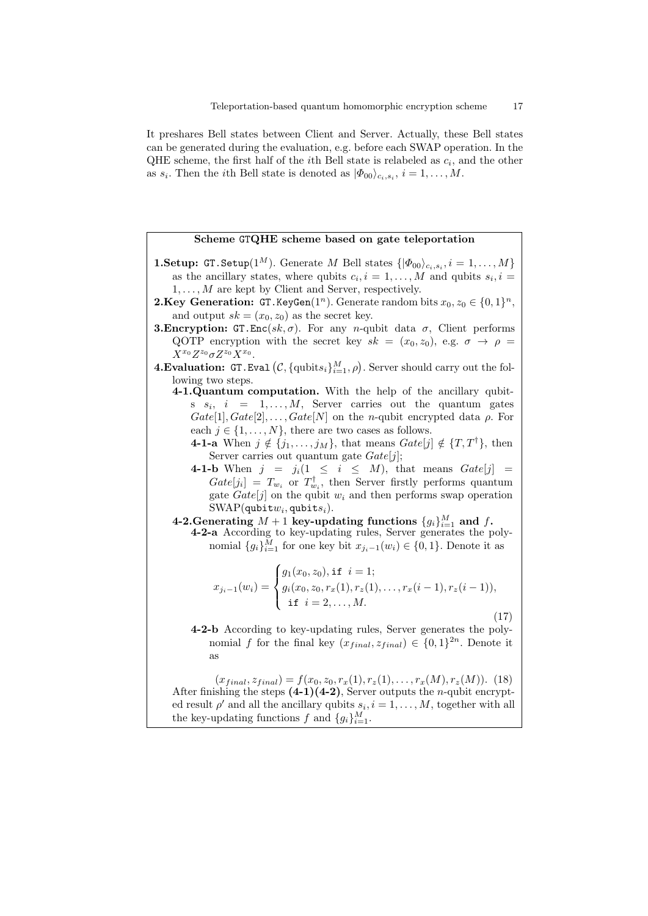It preshares Bell states between Client and Server. Actually, these Bell states can be generated during the evaluation, e.g. before each SWAP operation. In the QHE scheme, the first half of the *i*<sup>th</sup> Bell state is relabeled as  $c_i$ , and the other as  $s_i$ . Then the *i*th Bell state is denoted as  $|\Phi_{00}\rangle_{c_i,s_i}$ ,  $i=1,\ldots,M$ .

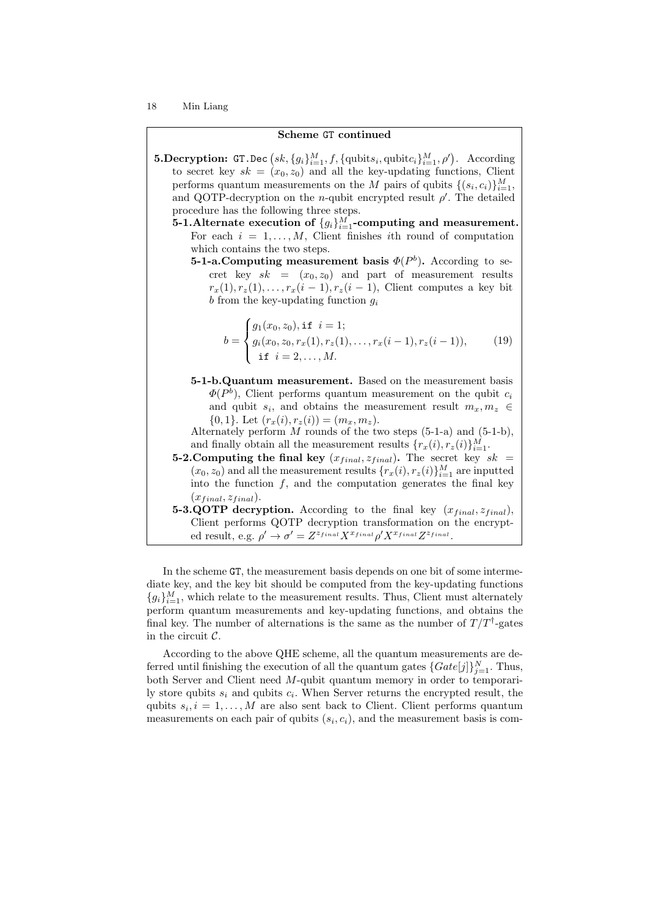#### Scheme GT continued

- **5.Decryption:** GT.Dec  $(sk, \{g_i\}_{i=1}^M, f, \{\text{qubits}_i, \text{qubit}_i\}_{i=1}^M, \rho')$ . According to secret key  $sk = (x_0, z_0)$  and all the key-updating functions, Client performs quantum measurements on the M pairs of qubits  $\{(s_i, c_i)\}_{i=1}^M$ , and QOTP-decryption on the *n*-qubit encrypted result  $\rho'$ . The detailed procedure has the following three steps.
	- 5-1.Alternate execution of  $\{g_i\}_{i=1}^M$ -computing and measurement. For each  $i = 1, \ldots, M$ , Client finishes ith round of computation which contains the two steps.
		- **5-1-a. Computing measurement basis**  $\Phi(P^b)$ **.** According to secret key  $sk = (x_0, z_0)$  and part of measurement results  $r_x(1), r_z(1), \ldots, r_x(i-1), r_z(i-1),$  Client computes a key bit b from the key-updating function  $g_i$

$$
b = \begin{cases} g_1(x_0, z_0), \text{if } i = 1; \\ g_i(x_0, z_0, r_x(1), r_z(1), \dots, r_x(i-1), r_z(i-1)), \\ \text{if } i = 2, \dots, M. \end{cases} \tag{19}
$$

5-1-b.Quantum measurement. Based on the measurement basis  $\Phi(P^b)$ , Client performs quantum measurement on the qubit  $c_i$ and qubit  $s_i$ , and obtains the measurement result  $m_x, m_z \in$  $\{0, 1\}.$  Let  $(r_x(i), r_z(i)) = (m_x, m_z).$ 

Alternately perform  $M$  rounds of the two steps  $(5-1-a)$  and  $(5-1-b)$ , and finally obtain all the measurement results  $\{r_x(i), r_z(i)\}_{i=1}^M$ .

- 5-2. Computing the final key  $(x_{final}, z_{final})$ . The secret key  $sk =$  $(x_0, z_0)$  and all the measurement results  $\{r_x(i), r_z(i)\}_{i=1}^M$  are inputted into the function  $f$ , and the computation generates the final key  $(x_{final}, z_{final}).$
- 5-3.QOTP decryption. According to the final key  $(x_{final}, z_{final})$ , Client performs QOTP decryption transformation on the encrypted result, e.g.  $\rho' \to \sigma' = Z^{z_{final}} X^{x_{final}} \rho' X^{x_{final}} Z^{z_{final}}$ .

In the scheme GT, the measurement basis depends on one bit of some intermediate key, and the key bit should be computed from the key-updating functions  ${g_i}_{i=1}^M$ , which relate to the measurement results. Thus, Client must alternately perform quantum measurements and key-updating functions, and obtains the final key. The number of alternations is the same as the number of  $T/T^{\dagger}$ -gates in the circuit  $C$ .

According to the above QHE scheme, all the quantum measurements are deferred until finishing the execution of all the quantum gates  $\{Gate[j]\}_{j=1}^N$ . Thus, both Server and Client need M-qubit quantum memory in order to temporarily store qubits  $s_i$  and qubits  $c_i$ . When Server returns the encrypted result, the qubits  $s_i, i = 1, \ldots, M$  are also sent back to Client. Client performs quantum measurements on each pair of qubits  $(s_i, c_i)$ , and the measurement basis is com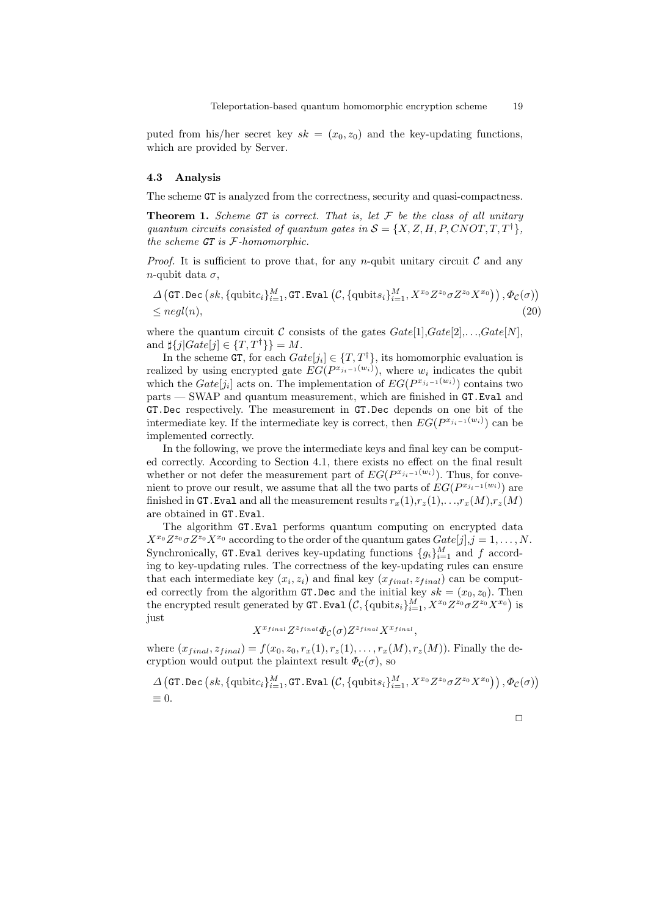puted from his/her secret key  $sk = (x_0, z_0)$  and the key-updating functions, which are provided by Server.

#### 4.3 Analysis

The scheme GT is analyzed from the correctness, security and quasi-compactness.

**Theorem 1.** Scheme GT is correct. That is, let  $\mathcal F$  be the class of all unitary quantum circuits consisted of quantum gates in  $S = \{X, Z, H, P, CNOT, T, T^{\dagger}\},\$ the scheme GT is F-homomorphic.

*Proof.* It is sufficient to prove that, for any n-qubit unitary circuit  $\mathcal C$  and any n-qubit data  $\sigma$ ,

$$
\Delta \left( \text{GT. Dec} \left( sk, \{ \text{qubit} c_i \}_{i=1}^M, \text{GT.Eval} \left( \mathcal{C}, \{ \text{qubits}_i \}_{i=1}^M, X^{x_0} Z^{z_0} \sigma Z^{z_0} X^{x_0} \right) \right), \Phi_{\mathcal{C}}(\sigma) \right) \leq negl(n),\tag{20}
$$

where the quantum circuit C consists of the gates  $Gate[1], Gate[2], \ldots, Gate[N],$ and  $\sharp \{j|Gate[j] \in \{T, T^{\dagger}\}\}=M$ .

In the scheme GT, for each  $Gate[j_i] \in \{T, T^{\dagger}\}\$ , its homomorphic evaluation is realized by using encrypted gate  $EG(P^{x_{j_i-1}(w_i)})$ , where  $w_i$  indicates the qubit which the  $Gate[j_i]$  acts on. The implementation of  $EG(P^{x_{j_i-1}(w_i)})$  contains two parts — SWAP and quantum measurement, which are finished in GT.Eval and GT.Dec respectively. The measurement in GT.Dec depends on one bit of the intermediate key. If the intermediate key is correct, then  $EG(P^{x_{j_i-1}(w_i)})$  can be implemented correctly.

In the following, we prove the intermediate keys and final key can be computed correctly. According to Section 4.1, there exists no effect on the final result whether or not defer the measurement part of  $EG(P^{x_{j_i-1}(w_i)})$ . Thus, for convenient to prove our result, we assume that all the two parts of  $EG(P^{x_{j_i-1}(w_i)})$  are finished in GT. Eval and all the measurement results  $r_x(1), r_z(1), \ldots, r_x(M), r_z(M)$ are obtained in GT.Eval.

The algorithm GT.Eval performs quantum computing on encrypted data  $X^{x_0} Z^{z_0} \sigma Z^{z_0} X^{x_0}$  according to the order of the quantum gates  $Gate[j], j = 1, ..., N$ . Synchronically, GT. Eval derives key-updating functions  $\{g_i\}_{i=1}^M$  and f according to key-updating rules. The correctness of the key-updating rules can ensure that each intermediate key  $(x_i, z_i)$  and final key  $(x_{final}, z_{final})$  can be computed correctly from the algorithm GT.Dec and the initial key  $sk = (x_0, z_0)$ . Then the encrypted result generated by  $\texttt{GT.Eval}\left( \mathcal{C}, \{\text{qubits}_i\}_{i=1}^M, X^{x_0}Z^{z_0}\sigma Z^{z_0}X^{x_0} \right)$  is just

$$
X^{x_{final}}Z^{z_{final}}\Phi_{\mathcal{C}}(\sigma)Z^{z_{final}}X^{x_{final}},
$$

where  $(x_{final}, z_{final}) = f(x_0, z_0, r_x(1), r_z(1), \ldots, r_x(M), r_z(M))$ . Finally the decryption would output the plaintext result  $\Phi_c(\sigma)$ , so

 $\Delta\left(\texttt{GT.Dec}\left(sk, \{\text{qubit}c_i\}_{i=1}^M, \texttt{GT.Eval}\left(\mathcal{C}, \{\text{qubits}_i\}_{i=1}^M, X^{x_0}Z^{z_0}\sigma Z^{z_0}X^{x_0}\right)\right), \varPhi_{\mathcal{C}}(\sigma)\right)$  $= 0.$ 

$$
\Box
$$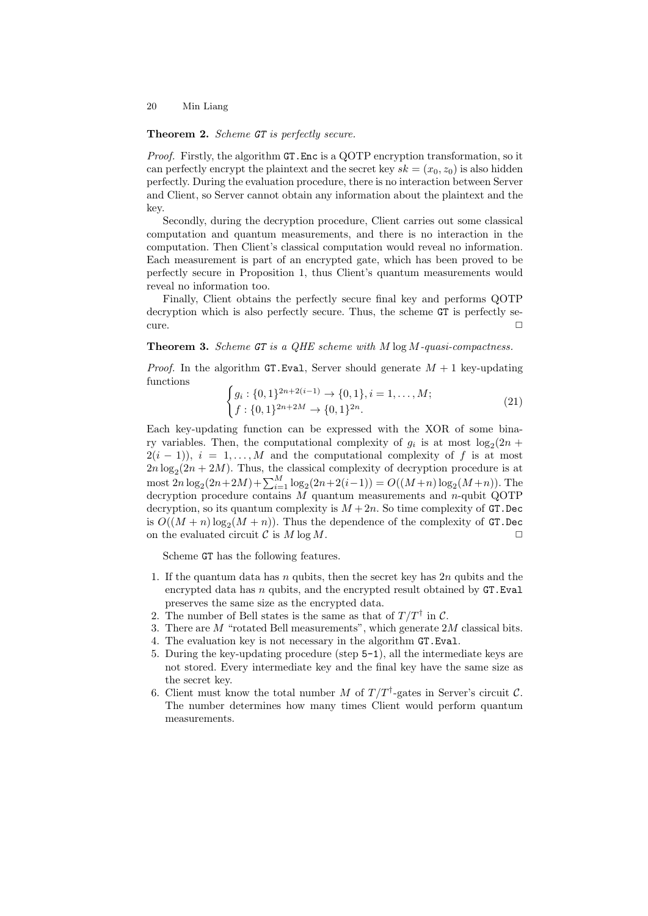#### Theorem 2. Scheme GT is perfectly secure.

Proof. Firstly, the algorithm GT.Enc is a QOTP encryption transformation, so it can perfectly encrypt the plaintext and the secret key  $sk = (x_0, z_0)$  is also hidden perfectly. During the evaluation procedure, there is no interaction between Server and Client, so Server cannot obtain any information about the plaintext and the key.

Secondly, during the decryption procedure, Client carries out some classical computation and quantum measurements, and there is no interaction in the computation. Then Client's classical computation would reveal no information. Each measurement is part of an encrypted gate, which has been proved to be perfectly secure in Proposition 1, thus Client's quantum measurements would reveal no information too.

Finally, Client obtains the perfectly secure final key and performs QOTP decryption which is also perfectly secure. Thus, the scheme GT is perfectly se $curve. \Box$ 

### **Theorem 3.** Scheme  $GT$  is a QHE scheme with  $M \log M$ -quasi-compactness.

*Proof.* In the algorithm GT.Eval, Server should generate  $M + 1$  key-updating functions

$$
\begin{cases} g_i: \{0,1\}^{2n+2(i-1)} \to \{0,1\}, i = 1,\dots,M; \\ f: \{0,1\}^{2n+2M} \to \{0,1\}^{2n}.\end{cases}
$$
(21)

Each key-updating function can be expressed with the XOR of some binary variables. Then, the computational complexity of  $g_i$  is at most  $log_2(2n +$  $2(i - 1)$ ,  $i = 1, ..., M$  and the computational complexity of f is at most  $2n \log_2(2n + 2M)$ . Thus, the classical complexity of decryption procedure is at most  $2n \log_2(2n+2M) + \sum_{i=1}^{M} \log_2(2n+2(i-1)) = O((M+n) \log_2(M+n))$ . The decryption procedure contains  $M$  quantum measurements and n-qubit QOTP decryption, so its quantum complexity is  $M + 2n$ . So time complexity of GT. Dec is  $O((M + n)\log_2(M + n))$ . Thus the dependence of the complexity of GT.Dec on the evaluated circuit  $C$  is  $M \log M$ .

Scheme GT has the following features.

- 1. If the quantum data has n qubits, then the secret key has  $2n$  qubits and the encrypted data has  $n$  qubits, and the encrypted result obtained by  $GT.Eval$ preserves the same size as the encrypted data.
- 2. The number of Bell states is the same as that of  $T/T^{\dagger}$  in C.
- 3. There are M "rotated Bell measurements", which generate 2M classical bits.
- 4. The evaluation key is not necessary in the algorithm GT.Eval.
- 5. During the key-updating procedure (step 5-1), all the intermediate keys are not stored. Every intermediate key and the final key have the same size as the secret key.
- 6. Client must know the total number M of  $T/T^{\dagger}$ -gates in Server's circuit C. The number determines how many times Client would perform quantum measurements.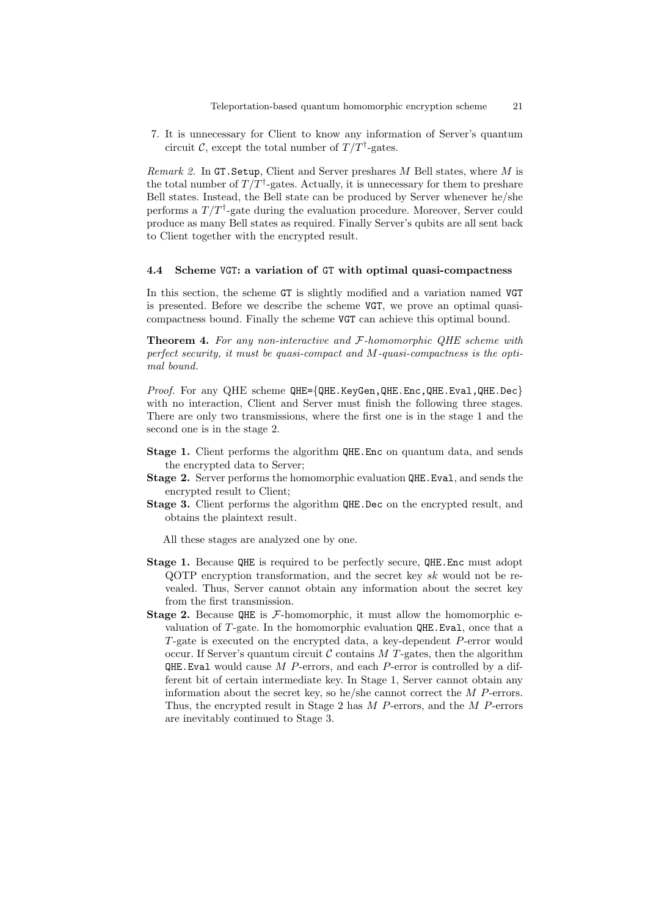7. It is unnecessary for Client to know any information of Server's quantum circuit C, except the total number of  $T/T^{\dagger}$ -gates.

*Remark 2.* In GT. Setup, Client and Server preshares M Bell states, where M is the total number of  $T/T^{\dagger}$ -gates. Actually, it is unnecessary for them to preshare Bell states. Instead, the Bell state can be produced by Server whenever he/she performs a  $T/T^{\dagger}$ -gate during the evaluation procedure. Moreover, Server could produce as many Bell states as required. Finally Server's qubits are all sent back to Client together with the encrypted result.

#### 4.4 Scheme VGT: a variation of GT with optimal quasi-compactness

In this section, the scheme GT is slightly modified and a variation named VGT is presented. Before we describe the scheme VGT, we prove an optimal quasicompactness bound. Finally the scheme VGT can achieve this optimal bound.

**Theorem 4.** For any non-interactive and F-homomorphic QHE scheme with perfect security, it must be quasi-compact and M-quasi-compactness is the optimal bound.

Proof. For any QHE scheme QHE={QHE.KeyGen, QHE.Enc, QHE.Eval, QHE.Dec} with no interaction, Client and Server must finish the following three stages. There are only two transmissions, where the first one is in the stage 1 and the second one is in the stage 2.

- Stage 1. Client performs the algorithm QHE.Enc on quantum data, and sends the encrypted data to Server;
- Stage 2. Server performs the homomorphic evaluation QHE.Eval, and sends the encrypted result to Client;
- Stage 3. Client performs the algorithm QHE.Dec on the encrypted result, and obtains the plaintext result.

All these stages are analyzed one by one.

- Stage 1. Because QHE is required to be perfectly secure, QHE.Enc must adopt QOTP encryption transformation, and the secret key sk would not be revealed. Thus, Server cannot obtain any information about the secret key from the first transmission.
- **Stage 2.** Because QHE is  $F$ -homomorphic, it must allow the homomorphic evaluation of T-gate. In the homomorphic evaluation QHE.Eval, once that a T-gate is executed on the encrypted data, a key-dependent P-error would occur. If Server's quantum circuit  $\mathcal C$  contains  $M$  T-gates, then the algorithm QHE. Eval would cause  $M$  P-errors, and each P-error is controlled by a different bit of certain intermediate key. In Stage 1, Server cannot obtain any information about the secret key, so he/she cannot correct the M P-errors. Thus, the encrypted result in Stage 2 has M P-errors, and the M P-errors are inevitably continued to Stage 3.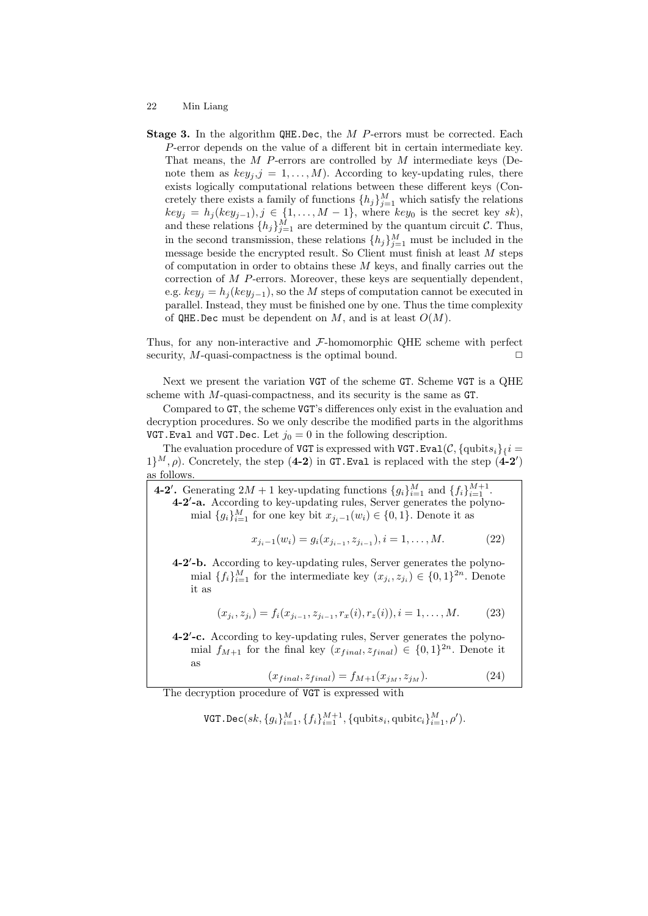Stage 3. In the algorithm QHE.Dec, the M P-errors must be corrected. Each P-error depends on the value of a different bit in certain intermediate key. That means, the  $M$  P-errors are controlled by  $M$  intermediate keys (Denote them as  $key_j$ ,  $j = 1, ..., M$ ). According to key-updating rules, there exists logically computational relations between these different keys (Concretely there exists a family of functions  $\{h_j\}_{j=1}^M$  which satisfy the relations  $key_j = h_j(key_{j-1}), j \in \{1, \ldots, M-1\}$ , where  $key_0$  is the secret key sk), and these relations  $\{h_j\}_{j=1}^M$  are determined by the quantum circuit C. Thus, in the second transmission, these relations  $\{h_j\}_{j=1}^M$  must be included in the message beside the encrypted result. So Client must finish at least M steps of computation in order to obtains these  $M$  keys, and finally carries out the correction of M P-errors. Moreover, these keys are sequentially dependent, e.g.  $key_i = h_i(key_{i-1})$ , so the M steps of computation cannot be executed in parallel. Instead, they must be finished one by one. Thus the time complexity of  $QHE$ . Dec must be dependent on M, and is at least  $O(M)$ .

Thus, for any non-interactive and  $\mathcal{F}\text{-}\mathrm{homomorphic}$  QHE scheme with perfect security,  $M$ -quasi-compactness is the optimal bound.  $\Box$ 

Next we present the variation VGT of the scheme GT. Scheme VGT is a QHE scheme with M-quasi-compactness, and its security is the same as GT.

Compared to GT, the scheme VGT's differences only exist in the evaluation and decryption procedures. So we only describe the modified parts in the algorithms VGT. Eval and VGT. Dec. Let  $j_0 = 0$  in the following description.

The evaluation procedure of VGT is expressed with VGT. Eval( $\mathcal{C}, \{\text{qubits}_i\}_i =$  $1\}^M$ ,  $\rho$ ). Concretely, the step (4-2) in GT. Eval is replaced with the step (4-2') as follows.

**4-2'.** Generating  $2M + 1$  key-updating functions  ${g_i}_{i=1}^M$  and  ${f_i}_{i=1}^{M+1}$ . 4-2'-a. According to key-updating rules, Server generates the polynomial  $\{g_i\}_{i=1}^M$  for one key bit  $x_{j_i-1}(w_i) \in \{0,1\}$ . Denote it as

$$
x_{j_i-1}(w_i) = g_i(x_{j_{i-1}}, z_{j_{i-1}}), i = 1, \dots, M.
$$
 (22)

4-2'-b. According to key-updating rules, Server generates the polynomial  $\{f_i\}_{i=1}^M$  for the intermediate key  $(x_{j_i}, z_{j_i}) \in \{0, 1\}^{2n}$ . Denote it as

$$
(x_{j_i}, z_{j_i}) = f_i(x_{j_{i-1}}, z_{j_{i-1}}, r_x(i), r_z(i)), i = 1, ..., M.
$$
 (23)

4-2'-c. According to key-updating rules, Server generates the polynomial  $f_{M+1}$  for the final key  $(x_{final}, z_{final}) \in \{0, 1\}^{2n}$ . Denote it as

$$
(x_{final}, z_{final}) = f_{M+1}(x_{j_M}, z_{j_M}).
$$
\n(24)

The decryption procedure of VGT is expressed with

VGT. Dec(
$$
sk
$$
, { $g_i$ } $_{i=1}^M$ , { $f_i$ } $_{i=1}^{M+1}$ , {qubits<sub>i</sub>, qubit $c_i$ } $_{i=1}^M$ ,  $\rho'$ ).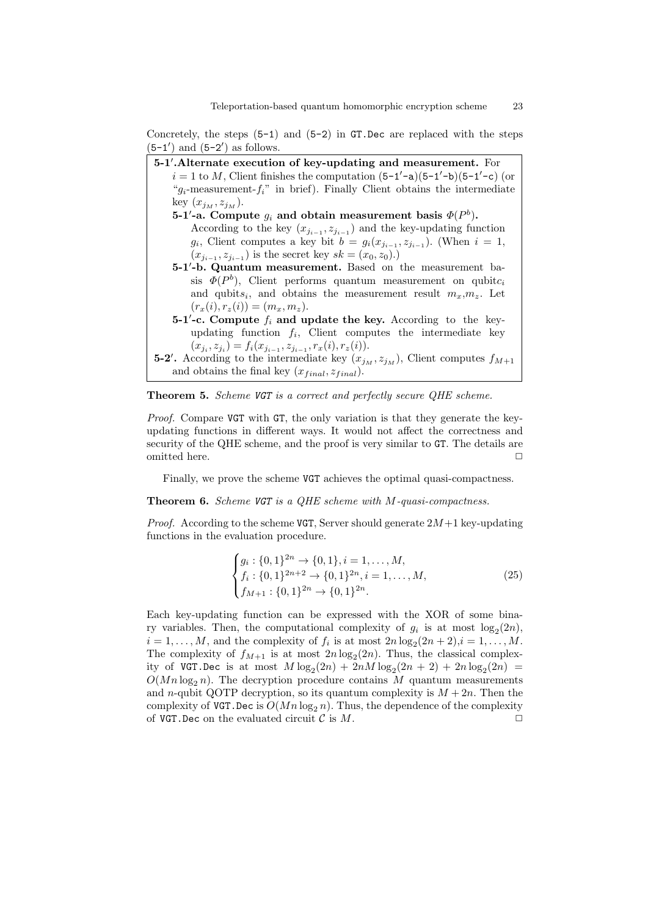Concretely, the steps  $(5-1)$  and  $(5-2)$  in GT.Dec are replaced with the steps  $(5-1')$  and  $(5-2')$  as follows.





Proof. Compare VGT with GT, the only variation is that they generate the keyupdating functions in different ways. It would not affect the correctness and security of the QHE scheme, and the proof is very similar to GT. The details are omitted here.  $\Box$ 

Finally, we prove the scheme VGT achieves the optimal quasi-compactness.

Theorem 6. Scheme VGT is a OHE scheme with M-quasi-compactness.

*Proof.* According to the scheme VGT, Server should generate  $2M+1$  key-updating functions in the evaluation procedure.

$$
\begin{cases} g_i: \{0,1\}^{2n} \to \{0,1\}, i = 1,\dots, M, \\ f_i: \{0,1\}^{2n+2} \to \{0,1\}^{2n}, i = 1,\dots, M, \\ f_{M+1}: \{0,1\}^{2n} \to \{0,1\}^{2n}. \end{cases}
$$
 (25)

Each key-updating function can be expressed with the XOR of some binary variables. Then, the computational complexity of  $g_i$  is at most  $log_2(2n)$ ,  $i = 1, \ldots, M$ , and the complexity of  $f_i$  is at most  $2n \log_2(2n+2)$ ,  $i = 1, \ldots, M$ . The complexity of  $f_{M+1}$  is at most  $2n \log_2(2n)$ . Thus, the classical complexity of VGT.Dec is at most  $M \log_2(2n) + 2nM \log_2(2n + 2) + 2n \log_2(2n) =$  $O(Mn \log_2 n)$ . The decryption procedure contains M quantum measurements and n-qubit QOTP decryption, so its quantum complexity is  $M + 2n$ . Then the complexity of VGT. Dec is  $O(Mn \log_2 n)$ . Thus, the dependence of the complexity of VGT. Dec on the evaluated circuit  $\mathcal C$  is  $M$ .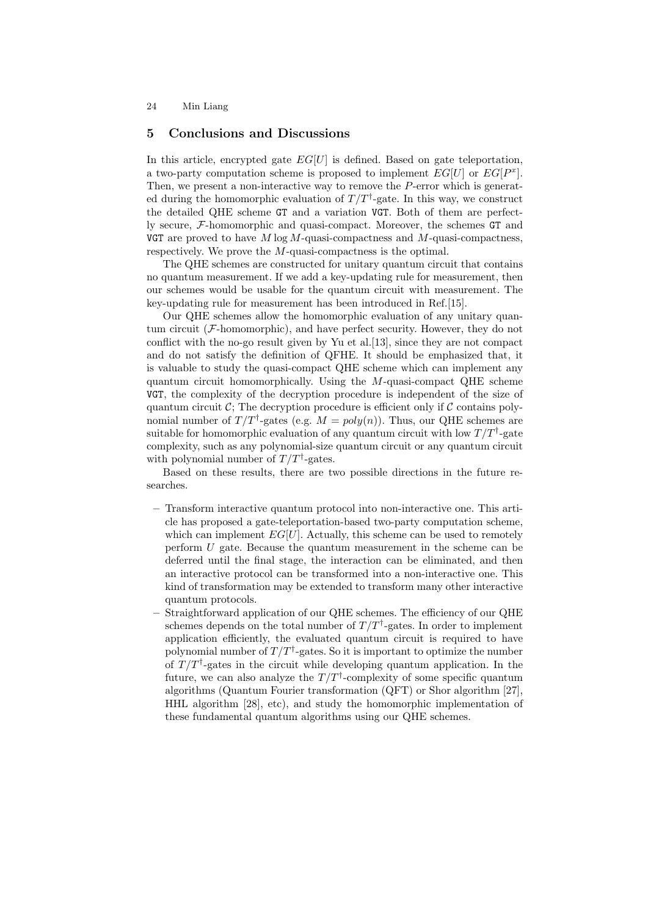# 5 Conclusions and Discussions

In this article, encrypted gate  $EG[U]$  is defined. Based on gate teleportation, a two-party computation scheme is proposed to implement  $EG[U]$  or  $EG[P^x]$ . Then, we present a non-interactive way to remove the P-error which is generated during the homomorphic evaluation of  $T/T^{\dagger}$ -gate. In this way, we construct the detailed QHE scheme GT and a variation VGT. Both of them are perfectly secure, F-homomorphic and quasi-compact. Moreover, the schemes GT and VGT are proved to have M log M-quasi-compactness and M-quasi-compactness. respectively. We prove the M-quasi-compactness is the optimal.

The QHE schemes are constructed for unitary quantum circuit that contains no quantum measurement. If we add a key-updating rule for measurement, then our schemes would be usable for the quantum circuit with measurement. The key-updating rule for measurement has been introduced in Ref.[15].

Our QHE schemes allow the homomorphic evaluation of any unitary quantum circuit  $(F\text{-}\mathrm{homomorphic})$ , and have perfect security. However, they do not conflict with the no-go result given by Yu et al.[13], since they are not compact and do not satisfy the definition of QFHE. It should be emphasized that, it is valuable to study the quasi-compact QHE scheme which can implement any quantum circuit homomorphically. Using the M-quasi-compact QHE scheme VGT, the complexity of the decryption procedure is independent of the size of quantum circuit  $\mathcal{C}$ ; The decryption procedure is efficient only if  $\mathcal{C}$  contains polynomial number of  $T/T^{\dagger}$ -gates (e.g.  $M = poly(n)$ ). Thus, our QHE schemes are suitable for homomorphic evaluation of any quantum circuit with low  $T/T^{\dagger}$ -gate complexity, such as any polynomial-size quantum circuit or any quantum circuit with polynomial number of  $T/T^{\dagger}$ -gates.

Based on these results, there are two possible directions in the future researches.

- Transform interactive quantum protocol into non-interactive one. This article has proposed a gate-teleportation-based two-party computation scheme, which can implement  $EG[U]$ . Actually, this scheme can be used to remotely perform U gate. Because the quantum measurement in the scheme can be deferred until the final stage, the interaction can be eliminated, and then an interactive protocol can be transformed into a non-interactive one. This kind of transformation may be extended to transform many other interactive quantum protocols.
- Straightforward application of our QHE schemes. The efficiency of our QHE schemes depends on the total number of  $T/T^{\dagger}$ -gates. In order to implement application efficiently, the evaluated quantum circuit is required to have polynomial number of  $T/T^{\dagger}$ -gates. So it is important to optimize the number of  $T/T^{\dagger}$ -gates in the circuit while developing quantum application. In the future, we can also analyze the  $T/T^{\dagger}$ -complexity of some specific quantum algorithms (Quantum Fourier transformation (QFT) or Shor algorithm [27], HHL algorithm [28], etc), and study the homomorphic implementation of these fundamental quantum algorithms using our QHE schemes.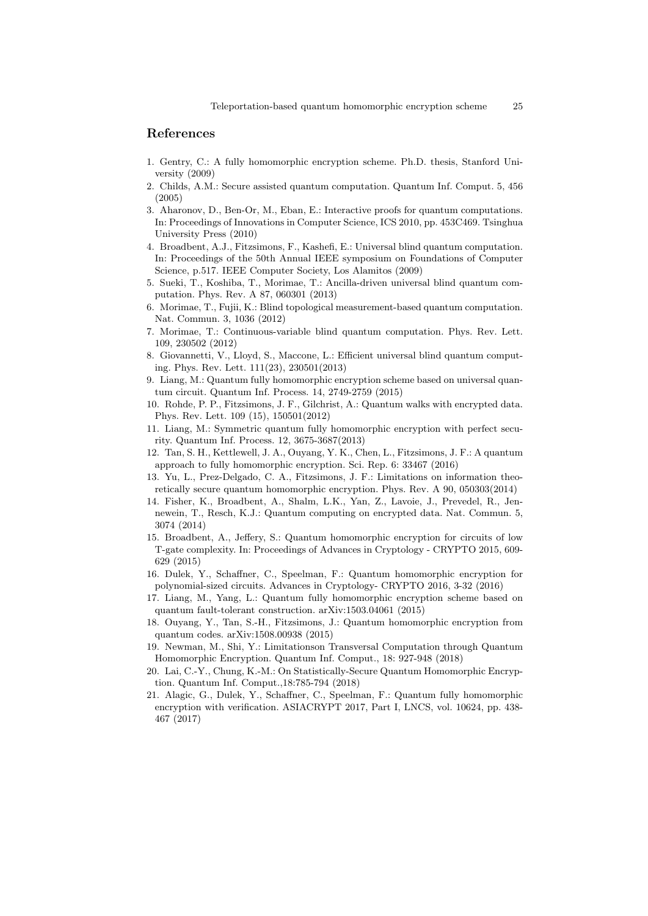# References

- 1. Gentry, C.: A fully homomorphic encryption scheme. Ph.D. thesis, Stanford University (2009)
- 2. Childs, A.M.: Secure assisted quantum computation. Quantum Inf. Comput. 5, 456 (2005)
- 3. Aharonov, D., Ben-Or, M., Eban, E.: Interactive proofs for quantum computations. In: Proceedings of Innovations in Computer Science, ICS 2010, pp. 453C469. Tsinghua University Press (2010)
- 4. Broadbent, A.J., Fitzsimons, F., Kashefi, E.: Universal blind quantum computation. In: Proceedings of the 50th Annual IEEE symposium on Foundations of Computer Science, p.517. IEEE Computer Society, Los Alamitos (2009)
- 5. Sueki, T., Koshiba, T., Morimae, T.: Ancilla-driven universal blind quantum computation. Phys. Rev. A 87, 060301 (2013)
- 6. Morimae, T., Fujii, K.: Blind topological measurement-based quantum computation. Nat. Commun. 3, 1036 (2012)
- 7. Morimae, T.: Continuous-variable blind quantum computation. Phys. Rev. Lett. 109, 230502 (2012)
- 8. Giovannetti, V., Lloyd, S., Maccone, L.: Efficient universal blind quantum computing. Phys. Rev. Lett. 111(23), 230501(2013)
- 9. Liang, M.: Quantum fully homomorphic encryption scheme based on universal quantum circuit. Quantum Inf. Process. 14, 2749-2759 (2015)
- 10. Rohde, P. P., Fitzsimons, J. F., Gilchrist, A.: Quantum walks with encrypted data. Phys. Rev. Lett. 109 (15), 150501(2012)
- 11. Liang, M.: Symmetric quantum fully homomorphic encryption with perfect security. Quantum Inf. Process. 12, 3675-3687(2013)
- 12. Tan, S. H., Kettlewell, J. A., Ouyang, Y. K., Chen, L., Fitzsimons, J. F.: A quantum approach to fully homomorphic encryption. Sci. Rep. 6: 33467 (2016)
- 13. Yu, L., Prez-Delgado, C. A., Fitzsimons, J. F.: Limitations on information theoretically secure quantum homomorphic encryption. Phys. Rev. A 90, 050303(2014)
- 14. Fisher, K., Broadbent, A., Shalm, L.K., Yan, Z., Lavoie, J., Prevedel, R., Jennewein, T., Resch, K.J.: Quantum computing on encrypted data. Nat. Commun. 5, 3074 (2014)
- 15. Broadbent, A., Jeffery, S.: Quantum homomorphic encryption for circuits of low T-gate complexity. In: Proceedings of Advances in Cryptology - CRYPTO 2015, 609- 629 (2015)
- 16. Dulek, Y., Schaffner, C., Speelman, F.: Quantum homomorphic encryption for polynomial-sized circuits. Advances in Cryptology- CRYPTO 2016, 3-32 (2016)
- 17. Liang, M., Yang, L.: Quantum fully homomorphic encryption scheme based on quantum fault-tolerant construction. arXiv:1503.04061 (2015)
- 18. Ouyang, Y., Tan, S.-H., Fitzsimons, J.: Quantum homomorphic encryption from quantum codes. arXiv:1508.00938 (2015)
- 19. Newman, M., Shi, Y.: Limitationson Transversal Computation through Quantum Homomorphic Encryption. Quantum Inf. Comput., 18: 927-948 (2018)
- 20. Lai, C.-Y., Chung, K.-M.: On Statistically-Secure Quantum Homomorphic Encryption. Quantum Inf. Comput.,18:785-794 (2018)
- 21. Alagic, G., Dulek, Y., Schaffner, C., Speelman, F.: Quantum fully homomorphic encryption with verification. ASIACRYPT 2017, Part I, LNCS, vol. 10624, pp. 438- 467 (2017)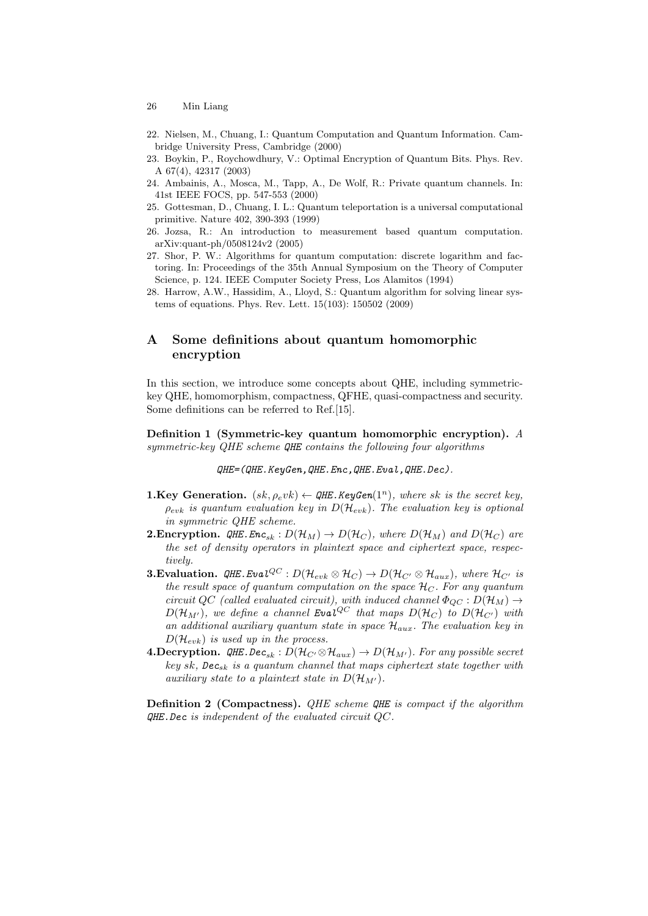- 26 Min Liang
- 22. Nielsen, M., Chuang, I.: Quantum Computation and Quantum Information. Cambridge University Press, Cambridge (2000)
- 23. Boykin, P., Roychowdhury, V.: Optimal Encryption of Quantum Bits. Phys. Rev. A 67(4), 42317 (2003)
- 24. Ambainis, A., Mosca, M., Tapp, A., De Wolf, R.: Private quantum channels. In: 41st IEEE FOCS, pp. 547-553 (2000)
- 25. Gottesman, D., Chuang, I. L.: Quantum teleportation is a universal computational primitive. Nature 402, 390-393 (1999)
- 26. Jozsa, R.: An introduction to measurement based quantum computation. arXiv:quant-ph/0508124v2 (2005)
- 27. Shor, P. W.: Algorithms for quantum computation: discrete logarithm and factoring. In: Proceedings of the 35th Annual Symposium on the Theory of Computer Science, p. 124. IEEE Computer Society Press, Los Alamitos (1994)
- 28. Harrow, A.W., Hassidim, A., Lloyd, S.: Quantum algorithm for solving linear systems of equations. Phys. Rev. Lett. 15(103): 150502 (2009)

# A Some definitions about quantum homomorphic encryption

In this section, we introduce some concepts about QHE, including symmetrickey QHE, homomorphism, compactness, QFHE, quasi-compactness and security. Some definitions can be referred to Ref.[15].

Definition 1 (Symmetric-key quantum homomorphic encryption). A symmetric-key QHE scheme QHE contains the following four algorithms

QHE=(QHE.KeyGen,QHE.Enc,QHE.Eval,QHE.Dec).

- **1.Key Generation.**  $(sk, \rho_e v k) \leftarrow$  QHE. KeyGen(1<sup>n</sup>), where sk is the secret key.  $\rho_{evk}$  is quantum evaluation key in  $D(\mathcal{H}_{evk})$ . The evaluation key is optional in symmetric QHE scheme.
- **2. Encryption.** QHE. Enc<sub>sk</sub>:  $D(\mathcal{H}_M) \to D(\mathcal{H}_C)$ , where  $D(\mathcal{H}_M)$  and  $D(\mathcal{H}_C)$  are the set of density operators in plaintext space and ciphertext space, respectively.
- **3. Evaluation.**  $QHE.Eval^{QC}: D(\mathcal{H}_{evk} \otimes \mathcal{H}_C) \rightarrow D(\mathcal{H}_{C'} \otimes \mathcal{H}_{aux}),$  where  $\mathcal{H}_{C'}$  is the result space of quantum computation on the space  $\mathcal{H}_C$ . For any quantum circuit QC (called evaluated circuit), with induced channel  $\Phi_{QC} : D(\mathcal{H}_M) \rightarrow$  $D(\mathcal{H}_{M'})$ , we define a channel Eval<sup>QC</sup> that maps  $D(\mathcal{H}_C)$  to  $D(\mathcal{H}_{C'})$  with an additional auxiliary quantum state in space  $\mathcal{H}_{aux}$ . The evaluation key in  $D(\mathcal{H}_{evk})$  is used up in the process.
- **4.Decryption.** QHE.Dec<sub>sk</sub>:  $D(\mathcal{H}_{C'} \otimes \mathcal{H}_{aux}) \rightarrow D(\mathcal{H}_{M'})$ . For any possible secret key sk,  $Dec_{sk}$  is a quantum channel that maps ciphertext state together with auxiliary state to a plaintext state in  $D(\mathcal{H}_{M'})$ .

**Definition 2 (Compactness).** QHE scheme QHE is compact if the algorithm  $QHE.$  Dec is independent of the evaluated circuit  $QC$ .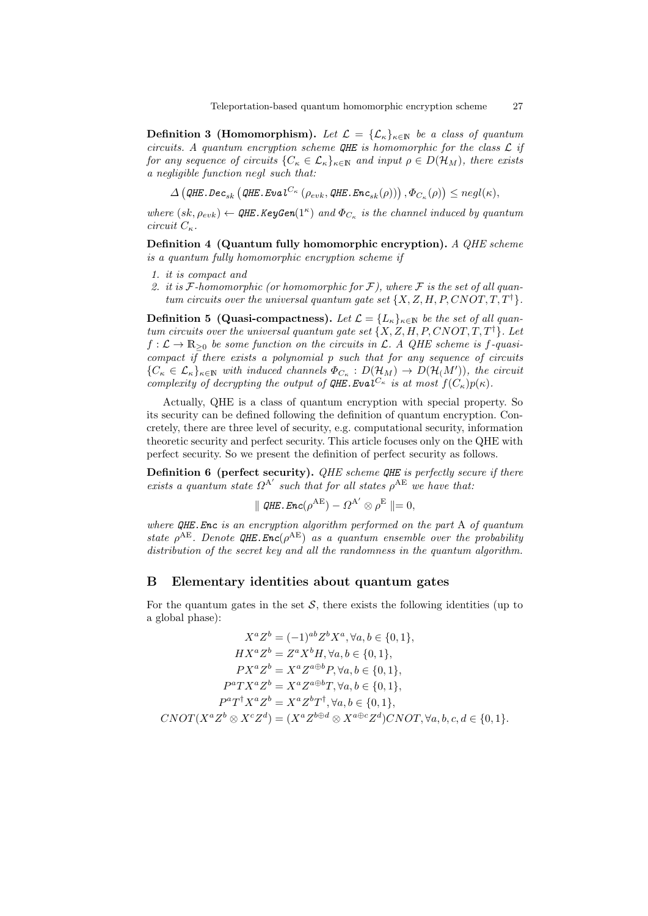**Definition 3 (Homomorphism).** Let  $\mathcal{L} = {\{\mathcal{L}_{\kappa}\}_{{\kappa}\in\mathbb{N}}}$  be a class of quantum circuits. A quantum encryption scheme  $QHE$  is homomorphic for the class  $\mathcal L$  if for any sequence of circuits  ${C_{\kappa} \in \mathcal{L}_{\kappa}}_{\kappa \in \mathbb{N}}$  and input  $\rho \in D(\mathcal{H}_M)$ , there exists a negligible function negl such that:

 $\Delta\left(\texttt{QHE}.\texttt{Dec}_{sk}\left(\texttt{QHE}.\texttt{Eval}^{C_\kappa}\left(\rho_{evk},\texttt{QHE}.\texttt{Enc}_{sk}(\rho)\right)\right),\Phi_{C_\kappa}(\rho)\right)\leq negl(\kappa),$ 

where  $(sk, \rho_{evk}) \leftarrow$  QHE. KeyGen(1<sup> $\kappa$ </sup>) and  $\Phi_{C_{\kappa}}$  is the channel induced by quantum circuit  $C_{\kappa}$ .

Definition 4 (Quantum fully homomorphic encryption). A QHE scheme is a quantum fully homomorphic encryption scheme if

- 1. it is compact and
- 2. it is F-homomorphic (or homomorphic for F), where F is the set of all quantum circuits over the universal quantum gate set  $\{X, Z, H, P, CNOT, T, T^{\dagger}\}.$

**Definition 5 (Quasi-compactness).** Let  $\mathcal{L} = \{L_{\kappa}\}_{{\kappa} \in \mathbb{N}}$  be the set of all quantum circuits over the universal quantum gate set  $\{X, Z, H, P, CNOT, T, T^{\dagger}\}$ . Let  $f: \mathcal{L} \to \mathbb{R}_{\geq 0}$  be some function on the circuits in  $\mathcal{L}$ . A QHE scheme is f-quasicompact if there exists a polynomial p such that for any sequence of circuits  ${C_{\kappa} \in \mathcal{L}_{\kappa}}_{\kappa \in \mathbb{N}}$  with induced channels  $\Phi_{C_{\kappa}} : D(\mathcal{H}_{M}) \to D(\mathcal{H}_{(M)}),$  the circuit complexity of decrypting the output of  $QHE.EvaI^{C_{\kappa}}$  is at most  $f(C_{\kappa})p(\kappa)$ .

Actually, QHE is a class of quantum encryption with special property. So its security can be defined following the definition of quantum encryption. Concretely, there are three level of security, e.g. computational security, information theoretic security and perfect security. This article focuses only on the QHE with perfect security. So we present the definition of perfect security as follows.

**Definition 6** (perfect security). QHE scheme QHE is perfectly secure if there exists a quantum state  $\Omega^{A'}$  such that for all states  $\rho^{AE}$  we have that:

$$
\parallel
$$
 QHE. Enc( $\rho^{\text{AE}}$ ) -  $\Omega^{\text{A}'} \otimes \rho^{\text{E}} \parallel = 0$ ,

where  $QHE$ . Enc is an encryption algorithm performed on the part A of quantum state  $\rho^{AE}$ . Denote QHE. Enc $(\rho^{AE})$  as a quantum ensemble over the probability distribution of the secret key and all the randomness in the quantum algorithm.

# B Elementary identities about quantum gates

For the quantum gates in the set  $S$ , there exists the following identities (up to a global phase):

$$
X^{a}Z^{b} = (-1)^{ab}Z^{b}X^{a}, \forall a, b \in \{0, 1\},
$$
  
\n
$$
HX^{a}Z^{b} = Z^{a}X^{b}H, \forall a, b \in \{0, 1\},
$$
  
\n
$$
PX^{a}Z^{b} = X^{a}Z^{a \oplus b}P, \forall a, b \in \{0, 1\},
$$
  
\n
$$
P^{a}TX^{a}Z^{b} = X^{a}Z^{a \oplus b}T, \forall a, b \in \{0, 1\},
$$
  
\n
$$
P^{a}T^{\dagger}X^{a}Z^{b} = X^{a}Z^{b}T^{\dagger}, \forall a, b \in \{0, 1\},
$$
  
\n
$$
CNOT(X^{a}Z^{b} \otimes X^{c}Z^{d}) = (X^{a}Z^{b \oplus d} \otimes X^{a \oplus c}Z^{d})CNOT, \forall a, b, c, d \in \{0, 1\}.
$$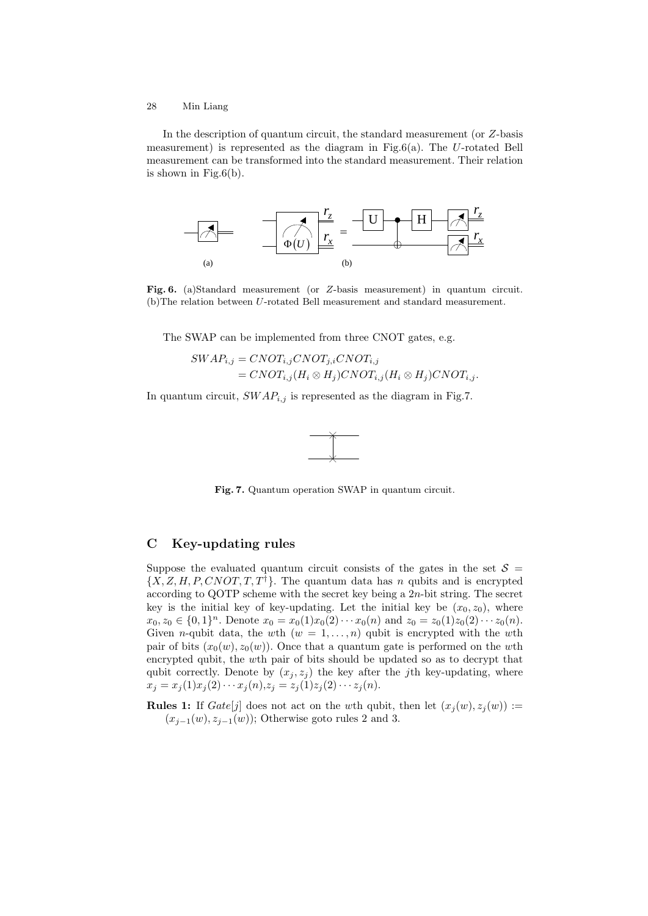In the description of quantum circuit, the standard measurement (or Z-basis measurement) is represented as the diagram in Fig.6(a). The  $U$ -rotated Bell measurement can be transformed into the standard measurement. Their relation is shown in Fig. $6(b)$ .



Fig. 6. (a)Standard measurement (or Z-basis measurement) in quantum circuit. (b)The relation between U-rotated Bell measurement and standard measurement.

The SWAP can be implemented from three CNOT gates, e.g.

$$
SWAP_{i,j} = CNOT_{i,j} CNOT_{j,i} CNOT_{i,j}
$$
  
= CNOT\_{i,j} (H\_i \otimes H\_j) CNOT\_{i,j} (H\_i \otimes H\_j) CNOT\_{i,j}

In quantum circuit,  $SWAP_{i,j}$  is represented as the diagram in Fig.7.



Fig. 7. Quantum operation SWAP in quantum circuit.

# C Key-updating rules

Suppose the evaluated quantum circuit consists of the gates in the set  $\mathcal{S} =$  $\{X, Z, H, P, CNOT, T, T^{\dagger}\}\.$  The quantum data has n qubits and is encrypted according to QOTP scheme with the secret key being a  $2n$ -bit string. The secret key is the initial key of key-updating. Let the initial key be  $(x_0, z_0)$ , where  $x_0, z_0 \in \{0, 1\}^n$ . Denote  $x_0 = x_0(1)x_0(2) \cdots x_0(n)$  and  $z_0 = z_0(1)z_0(2) \cdots z_0(n)$ . Given *n*-qubit data, the wth  $(w = 1, \ldots, n)$  qubit is encrypted with the wth pair of bits  $(x_0(w), z_0(w))$ . Once that a quantum gate is performed on the wth encrypted qubit, the wth pair of bits should be updated so as to decrypt that qubit correctly. Denote by  $(x_j, z_j)$  the key after the jth key-updating, where  $x_j = x_j(1)x_j(2)\cdots x_j(n), z_j = z_j(1)z_j(2)\cdots z_j(n).$ 

**Rules 1:** If  $Gate[j]$  does not act on the wth qubit, then let  $(x_j(w), z_j(w)) :=$  $(x_{j-1}(w), z_{j-1}(w))$ ; Otherwise goto rules 2 and 3.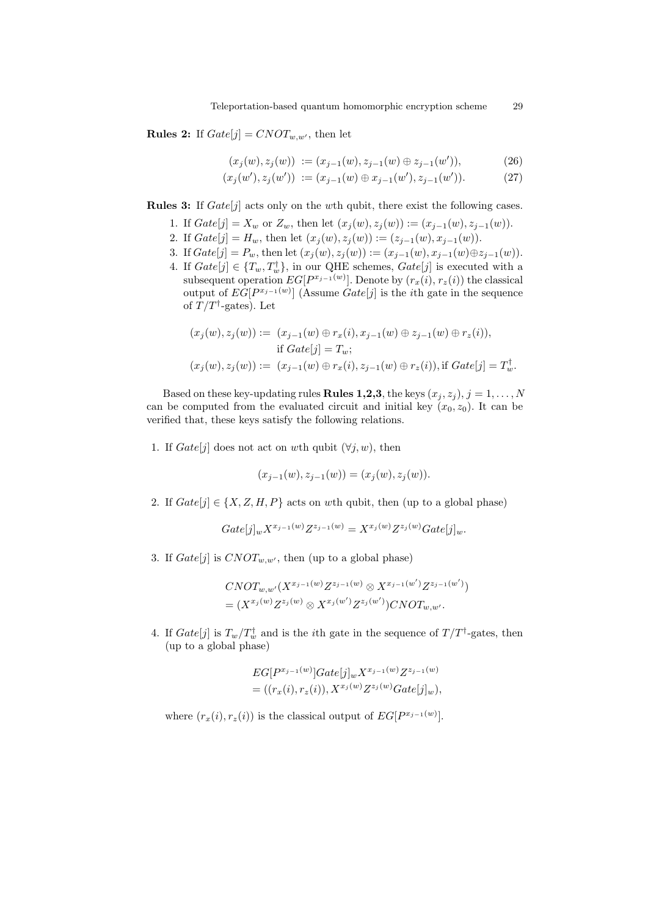**Rules 2:** If  $Gate[j] = CNOT_{w,w'}$ , then let

$$
(x_j(w), z_j(w)) := (x_{j-1}(w), z_{j-1}(w) \oplus z_{j-1}(w')), \tag{26}
$$

$$
(x_j(w'), z_j(w')) := (x_{j-1}(w) \oplus x_{j-1}(w'), z_{j-1}(w')).
$$
 (27)

**Rules 3:** If  $Gate[j]$  acts only on the wth qubit, there exist the following cases.

- 1. If  $Gate[j] = X_w$  or  $Z_w$ , then let  $(x_i(w), z_i(w)) := (x_{i-1}(w), z_{i-1}(w))$ .
- 2. If  $Gate[j] = H_w$ , then let  $(x_j(w), z_j(w)) := (z_{j-1}(w), x_{j-1}(w))$ .
- 3. If  $Gate[j] = P_w$ , then let  $(x_j(w), z_j(w)) := (x_{j-1}(w), x_{j-1}(w) \oplus z_{j-1}(w)).$
- 4. If  $Gate[j] \in \{T_w, T_w^{\dagger}\},$  in our QHE schemes,  $Gate[j]$  is executed with a subsequent operation  $EG[P^{x_{j-1}(w)}]$ . Denote by  $(r_x(i), r_z(i))$  the classical output of  $EG[P^{x_{j-1}(w)}]$  (Assume  $Gate[j]$  is the *i*th gate in the sequence of  $T/T^{\dagger}$ -gates). Let

$$
(x_j(w), z_j(w)) := (x_{j-1}(w) \oplus r_x(i), x_{j-1}(w) \oplus z_{j-1}(w) \oplus r_z(i)),
$$
  
if 
$$
Gate[j] = T_w;
$$
  

$$
(x_j(w), z_j(w)) := (x_{j-1}(w) \oplus r_x(i), z_{j-1}(w) \oplus r_z(i)), \text{if } Gate[j] = T_w^{\dagger}.
$$

Based on these key-updating rules **Rules 1,2,3**, the keys  $(x_j, z_j)$ ,  $j = 1, ..., N$ can be computed from the evaluated circuit and initial key  $(x_0, z_0)$ . It can be verified that, these keys satisfy the following relations.

1. If  $Gate[j]$  does not act on wth qubit  $(\forall j, w)$ , then

$$
(x_{j-1}(w), z_{j-1}(w)) = (x_j(w), z_j(w)).
$$

2. If  $Gate[j] \in \{X, Z, H, P\}$  acts on wth qubit, then (up to a global phase)

$$
Gate[j]_{w} X^{x_{j-1}(w)} Z^{z_{j-1}(w)} = X^{x_{j}(w)} Z^{z_{j}(w)} Gate[j]_{w}.
$$

3. If  $Gate[j]$  is  $CNOT_{w,w'}$ , then (up to a global phase)

$$
CNOT_{w,w'}(X^{x_{j-1}(w)}Z^{z_{j-1}(w)} \otimes X^{x_{j-1}(w')}Z^{z_{j-1}(w')})
$$
  
=  $(X^{x_j(w)}Z^{z_j(w)} \otimes X^{x_j(w')}Z^{z_j(w')})CNOT_{w,w'}.$ 

4. If  $Gate[j]$  is  $T_w/T_w^{\dagger}$  and is the *i*<sup>th</sup> gate in the sequence of  $T/T^{\dagger}$ -gates, then (up to a global phase)

$$
EG[P^{x_{j-1}(w)}] Gate[j]_w X^{x_{j-1}(w)} Z^{z_{j-1}(w)}
$$
  
= ((r<sub>x</sub>(i), r<sub>z</sub>(i)), X<sup>x<sub>j</sub>(w)</sup>Z<sup>z<sub>j</sub>(w)</sup>Gate[j]w),

where  $(r_x(i), r_z(i))$  is the classical output of  $EG[P^{x_{j-1}(w)}].$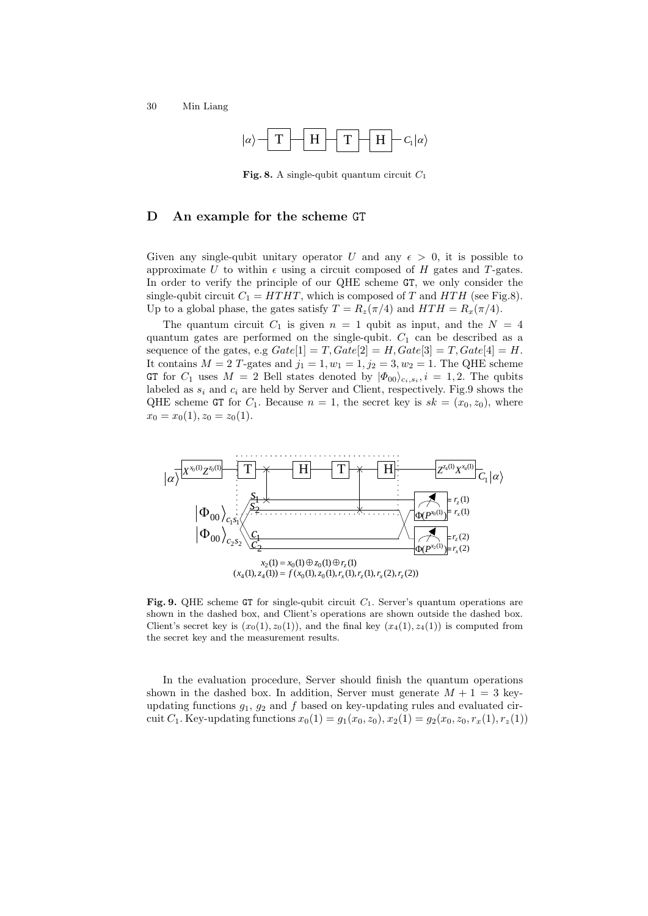

**Fig. 8.** A single-qubit quantum circuit  $C_1$ 

# D An example for the scheme GT

Given any single-qubit unitary operator U and any  $\epsilon > 0$ , it is possible to approximate U to within  $\epsilon$  using a circuit composed of H gates and T-gates. In order to verify the principle of our QHE scheme GT, we only consider the single-qubit circuit  $C_1 = HTHT$ , which is composed of T and  $HTH$  (see Fig.8). Up to a global phase, the gates satisfy  $T = R_z(\pi/4)$  and  $HTH = R_x(\pi/4)$ .

The quantum circuit  $C_1$  is given  $n = 1$  qubit as input, and the  $N = 4$ quantum gates are performed on the single-qubit.  $C_1$  can be described as a sequence of the gates, e.g  $Gate[1] = T$ ,  $Gate[2] = H$ ,  $Gate[3] = T$ ,  $Gate[4] = H$ . It contains  $M = 2$  T-gates and  $j_1 = 1, w_1 = 1, j_2 = 3, w_2 = 1$ . The QHE scheme GT for  $C_1$  uses  $M = 2$  Bell states denoted by  $|\Phi_{00}\rangle_{c_i,s_i}, i = 1,2$ . The qubits labeled as  $s_i$  and  $c_i$  are held by Server and Client, respectively. Fig.9 shows the QHE scheme GT for  $C_1$ . Because  $n = 1$ , the secret key is  $sk = (x_0, z_0)$ , where  $x_0 = x_0(1), z_0 = z_0(1).$ 



**Fig. 9.** QHE scheme GT for single-qubit circuit  $C_1$ . Server's quantum operations are shown in the dashed box, and Client's operations are shown outside the dashed box. Client's secret key is  $(x_0(1), z_0(1))$ , and the final key  $(x_4(1), z_4(1))$  is computed from the secret key and the measurement results.

In the evaluation procedure, Server should finish the quantum operations shown in the dashed box. In addition, Server must generate  $M + 1 = 3$  keyupdating functions  $g_1$ ,  $g_2$  and f based on key-updating rules and evaluated circuit C<sub>1</sub>. Key-updating functions  $x_0(1) = g_1(x_0, z_0), x_2(1) = g_2(x_0, z_0, r_x(1), r_z(1))$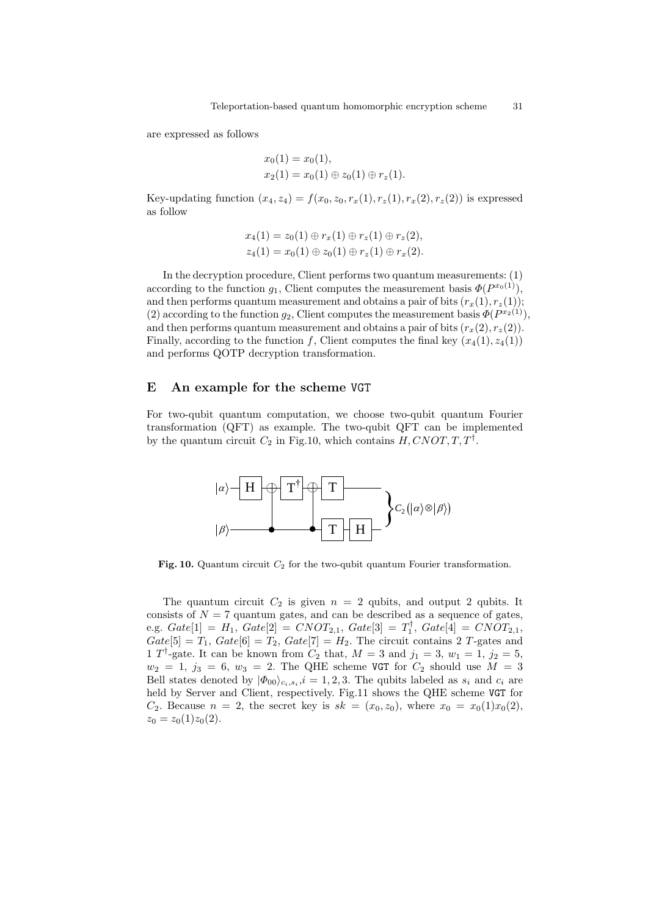are expressed as follows

$$
x_0(1) = x_0(1),
$$
  
\n
$$
x_2(1) = x_0(1) \oplus z_0(1) \oplus r_z(1).
$$

Key-updating function  $(x_4, z_4) = f(x_0, z_0, r_x(1), r_z(1), r_x(2), r_z(2))$  is expressed as follow

$$
x_4(1) = z_0(1) \oplus r_x(1) \oplus r_z(1) \oplus r_z(2),
$$
  

$$
z_4(1) = x_0(1) \oplus z_0(1) \oplus r_z(1) \oplus r_x(2).
$$

In the decryption procedure, Client performs two quantum measurements: (1) according to the function  $g_1$ , Client computes the measurement basis  $\Phi(P^{x_0(1)})$ , and then performs quantum measurement and obtains a pair of bits  $(r_x(1), r_z(1));$ (2) according to the function  $g_2$ , Client computes the measurement basis  $\Phi(P^{x_2(1)})$ , and then performs quantum measurement and obtains a pair of bits  $(r_x(2), r_z(2))$ . Finally, according to the function f, Client computes the final key  $(x_4(1), z_4(1))$ and performs QOTP decryption transformation.

# E An example for the scheme VGT

For two-qubit quantum computation, we choose two-qubit quantum Fourier transformation (QFT) as example. The two-qubit QFT can be implemented by the quantum circuit  $C_2$  in Fig.10, which contains  $H, CNOT, T, T^{\dagger}$ .



Fig. 10. Quantum circuit  $C_2$  for the two-qubit quantum Fourier transformation.

The quantum circuit  $C_2$  is given  $n = 2$  qubits, and output 2 qubits. It consists of  $N = 7$  quantum gates, and can be described as a sequence of gates, e.g.  $Gate[1] = H_1, Gate[2] = CNOT_{2,1}, Gate[3] = T_1^{\dagger}, Gate[4] = CNOT_{2,1},$  $Gate[5] = T_1, Gate[6] = T_2, Gate[7] = H_2. The circuit contains 2 T-gates and$ 1 T<sup>†</sup>-gate. It can be known from  $C_2$  that,  $M = 3$  and  $j_1 = 3$ ,  $w_1 = 1$ ,  $j_2 = 5$ ,  $w_2 = 1, j_3 = 6, w_3 = 2$ . The QHE scheme VGT for  $C_2$  should use  $M = 3$ Bell states denoted by  $|\Phi_{00}\rangle_{c_i,s_i}$ ,  $i=1,2,3$ . The qubits labeled as  $s_i$  and  $c_i$  are held by Server and Client, respectively. Fig.11 shows the QHE scheme VGT for  $C_2$ . Because  $n = 2$ , the secret key is  $sk = (x_0, z_0)$ , where  $x_0 = x_0(1)x_0(2)$ ,  $z_0 = z_0(1)z_0(2).$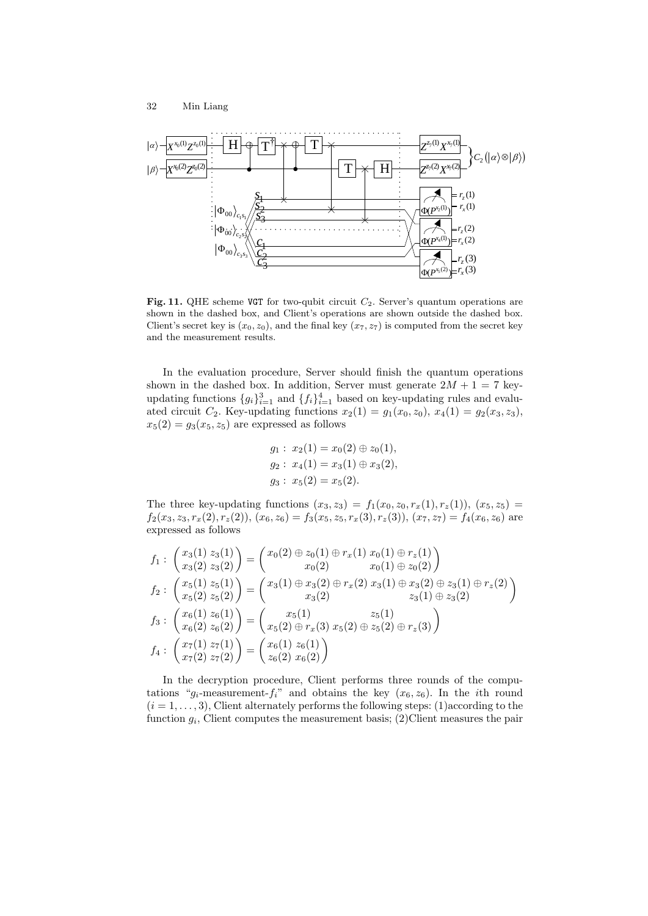



Fig. 11. QHE scheme VGT for two-qubit circuit  $C_2$ . Server's quantum operations are shown in the dashed box, and Client's operations are shown outside the dashed box. Client's secret key is  $(x_0, z_0)$ , and the final key  $(x_7, z_7)$  is computed from the secret key and the measurement results.

In the evaluation procedure, Server should finish the quantum operations shown in the dashed box. In addition, Server must generate  $2M + 1 = 7$  keyupdating functions  ${g_i}_{i=1}^3$  and  ${f_i}_{i=1}^4$  based on key-updating rules and evaluated circuit  $C_2$ . Key-updating functions  $x_2(1) = g_1(x_0, z_0), x_4(1) = g_2(x_3, z_3),$  $x_5(2) = g_3(x_5, z_5)$  are expressed as follows

$$
g_1: x_2(1) = x_0(2) \oplus z_0(1),
$$
  
\n
$$
g_2: x_4(1) = x_3(1) \oplus x_3(2),
$$
  
\n
$$
g_3: x_5(2) = x_5(2).
$$

The three key-updating functions  $(x_3, z_3) = f_1(x_0, z_0, r_x(1), r_z(1)), (x_5, z_5) =$  $f_2(x_3, z_3, r_x(2), r_z(2)), (x_6, z_6) = f_3(x_5, z_5, r_x(3), r_z(3)), (x_7, z_7) = f_4(x_6, z_6)$  are expressed as follows

$$
f_1: \begin{pmatrix} x_3(1) & z_3(1) \ x_3(2) & z_3(2) \end{pmatrix} = \begin{pmatrix} x_0(2) \oplus z_0(1) \oplus r_x(1) & x_0(1) \oplus r_z(1) \ x_0(1) \oplus z_0(2) & x_0(1) \oplus z_0(2) \end{pmatrix}
$$
  
\n
$$
f_2: \begin{pmatrix} x_5(1) & z_5(1) \ x_5(2) & z_5(2) \end{pmatrix} = \begin{pmatrix} x_3(1) \oplus x_3(2) \oplus r_x(2) & x_3(1) \oplus x_3(2) \oplus z_3(1) \oplus r_z(2) \ x_3(2) & z_3(1) \oplus z_3(2) \end{pmatrix}
$$
  
\n
$$
f_3: \begin{pmatrix} x_6(1) & z_6(1) \ x_6(2) & z_6(2) \end{pmatrix} = \begin{pmatrix} x_5(1) & z_5(1) \ x_5(2) \oplus r_x(3) & x_5(2) \oplus z_5(2) \oplus r_z(3) \end{pmatrix}
$$
  
\n
$$
f_4: \begin{pmatrix} x_7(1) & z_7(1) \ x_7(2) & z_7(2) \end{pmatrix} = \begin{pmatrix} x_6(1) & z_6(1) \ z_6(2) & x_6(2) \end{pmatrix}
$$

In the decryption procedure, Client performs three rounds of the computations " $g_i$ -measurement- $f_i$ " and obtains the key  $(x_6, z_6)$ . In the *i*th round  $(i = 1, \ldots, 3)$ , Client alternately performs the following steps: (1)according to the function  $g_i$ , Client computes the measurement basis; (2)Client measures the pair